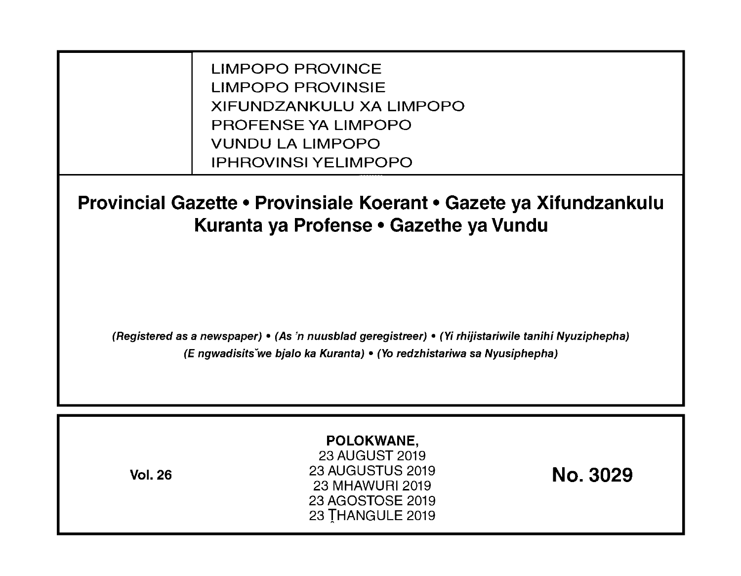LIMPOPO PROVINCE LIMPOPO PROVINSIE XIFUNDZANKULU XA LIMPOPO PROFENSE YA LIMPOPO VUNDU LA LIMPOPO IPHROVINSI YELIMPOPO

**Provincial Gazette • Provinsiale Koerant • Gazete ya Xifundzankulu Kuranta ya Profense • Gazethe ya Vundu** 

(Registered as a newspaper) • (As 'n nuusblad geregistreer) • (Yi rhijistariwile tanihi Nyuziphepha) (E ngwadisits we bjalo ka Kuranta) • (Yo redzhistariwa sa Nyusiphepha)

| <b>Vol. 26</b> | POLOKWANE,<br>23 AUGUST 2019<br><b>23 AUGUSTUS 2019</b><br>23 MHAWURI 2019<br>23 AGOSTOSE 2019<br>23 THANGULE 2019 | No. 3029 |
|----------------|--------------------------------------------------------------------------------------------------------------------|----------|
|----------------|--------------------------------------------------------------------------------------------------------------------|----------|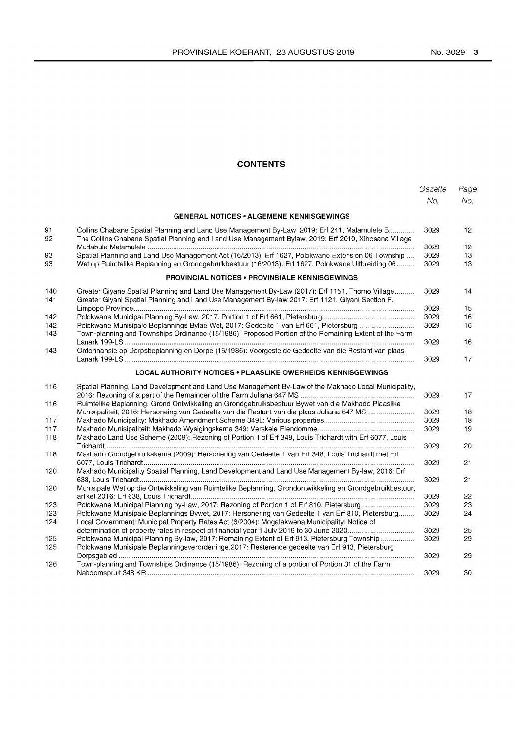# **CONTENTS**

|          |                                                                                                                                                                                                      | Gazette<br>No. | Page<br>No.     |
|----------|------------------------------------------------------------------------------------------------------------------------------------------------------------------------------------------------------|----------------|-----------------|
|          |                                                                                                                                                                                                      |                |                 |
|          | <b>GENERAL NOTICES • ALGEMENE KENNISGEWINGS</b>                                                                                                                                                      |                |                 |
| 91<br>92 | Collins Chabane Spatial Planning and Land Use Management By-Law, 2019: Erf 241, Malamulele B<br>The Collins Chabane Spatial Planning and Land Use Management Bylaw, 2019: Erf 2010, Xihosana Village | 3029           | 12 <sup>2</sup> |
|          |                                                                                                                                                                                                      | 3029           | 12              |
| 93       | Spatial Planning and Land Use Management Act (16/2013): Erf 1627, Polokwane Extension 06 Township                                                                                                    | 3029           | 13              |
| 93       | Wet op Ruimtelike Beplanning en Grondgebruikbestuur (16/2013): Erf 1627, Polokwane Uitbreiding 06                                                                                                    | 3029           | 13              |
|          | <b>PROVINCIAL NOTICES • PROVINSIALE KENNISGEWINGS</b>                                                                                                                                                |                |                 |
| 140      | Greater Giyane Spatial Planning and Land Use Management By-Law (2017): Erf 1151, Thomo Village                                                                                                       | 3029           | 14              |
| 141      | Greater Giyani Spatial Planning and Land Use Management By-law 2017: Erf 1121, Giyani Section F,                                                                                                     |                |                 |
|          |                                                                                                                                                                                                      | 3029           | 15              |
| 142      |                                                                                                                                                                                                      | 3029           | 16              |
| 142      | Polokwane Munisipale Beplannings Bylae Wet, 2017: Gedeelte 1 van Erf 661, Pietersburg                                                                                                                | 3029           | 16              |
| 143      | Town-planning and Townships Ordinance (15/1986): Proposed Portion of the Remaining Extent of the Farm                                                                                                |                |                 |
|          |                                                                                                                                                                                                      | 3029           | 16              |
| 143      | Ordonnansie op Dorpsbeplanning en Dorpe (15/1986): Voorgestelde Gedeelte van die Restant van plaas                                                                                                   |                |                 |
|          |                                                                                                                                                                                                      | 3029           | 17              |
|          | LOCAL AUTHORITY NOTICES . PLAASLIKE OWERHEIDS KENNISGEWINGS                                                                                                                                          |                |                 |
| 116      | Spatial Planning, Land Development and Land Use Management By-Law of the Makhado Local Municipality,                                                                                                 |                |                 |
|          |                                                                                                                                                                                                      | 3029           | 17              |
| 116      | Ruimtelike Beplanning, Grond Ontwikkeling en Grondgebruiksbestuur Bywet van die Makhado Plaaslike                                                                                                    |                |                 |
|          | Munisipaliteit, 2016: Hersoneing van Gedeelte van die Restant van die plaas Juliana 647 MS                                                                                                           | 3029           | 18              |
| 117      |                                                                                                                                                                                                      | 3029           | 18              |
| 117      |                                                                                                                                                                                                      | 3029           | 19              |
| 118      | Makhado Land Use Scheme (2009): Rezoning of Portion 1 of Erf 348, Louis Trichardt with Erf 6077, Louis                                                                                               |                |                 |
|          |                                                                                                                                                                                                      | 3029           | 20              |
| 118      | Makhado Grondgebruikskema (2009): Hersonering van Gedeelte 1 van Erf 348, Louis Trichardt met Erf                                                                                                    |                |                 |
|          |                                                                                                                                                                                                      | 3029           | 21              |
| 120      | Makhado Municipality Spatial Planning, Land Development and Land Use Management By-law, 2016: Erf                                                                                                    |                |                 |
|          |                                                                                                                                                                                                      | 3029           | 21              |
| 120      | Munisipale Wet op die Ontwikkeling van Ruimtelike Beplanning, Grondontwikkeling en Grondgebruikbestuur,                                                                                              |                |                 |
|          |                                                                                                                                                                                                      | 3029           | 22              |
| 123      | Polokwane Municipal Planning by-Law, 2017: Rezoning of Portion 1 of Erf 810, Pietersburg                                                                                                             | 3029           | 23              |
| 123      | Polokwane Munisipale Beplannings Bywet, 2017: Hersonering van Gedeelte 1 van Erf 810, Pietersburg                                                                                                    | 3029           | 24              |
| 124      | Local Government: Municipal Property Rates Act (6/2004): Mogalakwena Municipality: Notice of                                                                                                         |                |                 |
|          |                                                                                                                                                                                                      | 3029           | 25              |
| 125      | Polokwane Municipal Planning By-law, 2017: Remaining Extent of Erf 913, Pietersburg Township                                                                                                         | 3029           | 29              |
| 125      | Polokwane Munisipale Beplanningsverordeninge, 2017: Resterende gedeelte van Erf 913, Pietersburg                                                                                                     |                |                 |
|          |                                                                                                                                                                                                      | 3029           | 29              |
| 126      | Town-planning and Townships Ordinance (15/1986): Rezoning of a portion of Portion 31 of the Farm                                                                                                     |                |                 |
|          |                                                                                                                                                                                                      | 3029           | 30              |
|          |                                                                                                                                                                                                      |                |                 |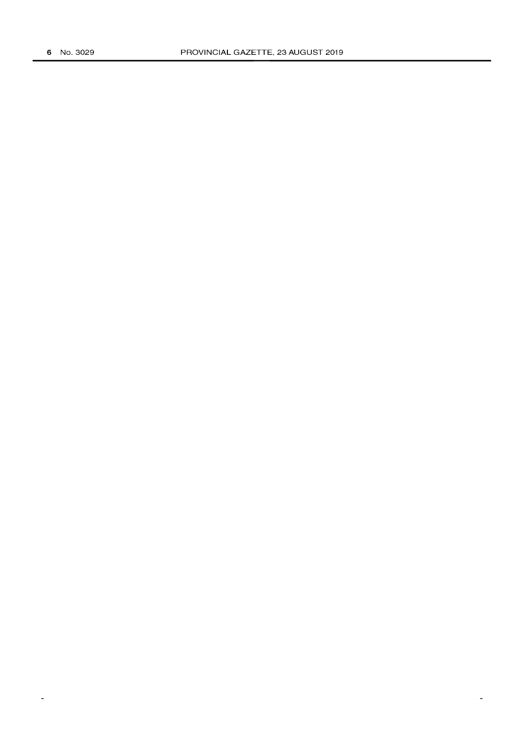$\Box$ 

 $\overline{\phantom{a}}$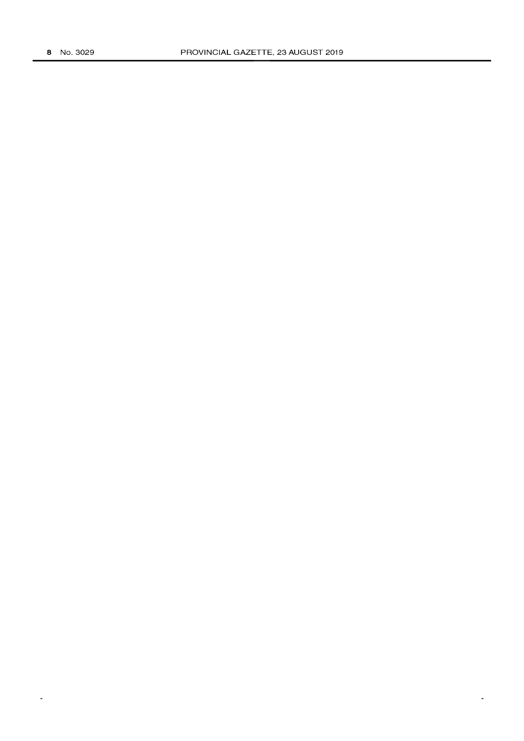$\bar{\mathcal{A}}$ 

 $\blacksquare$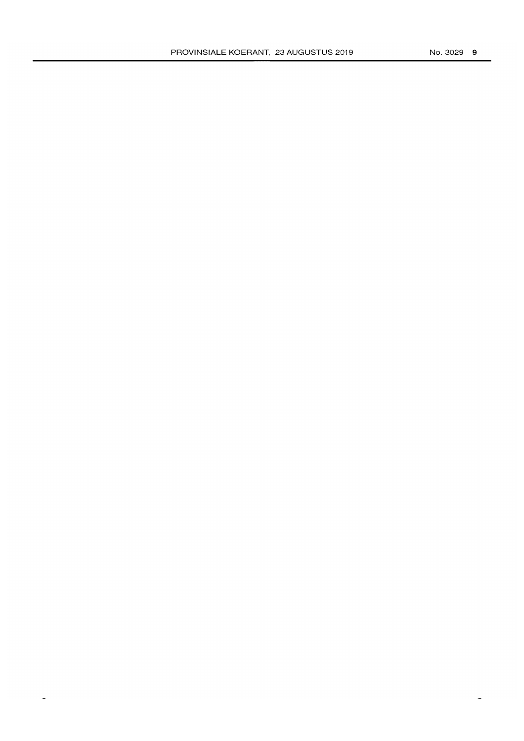$\overline{a}$ 

 $\overline{a}$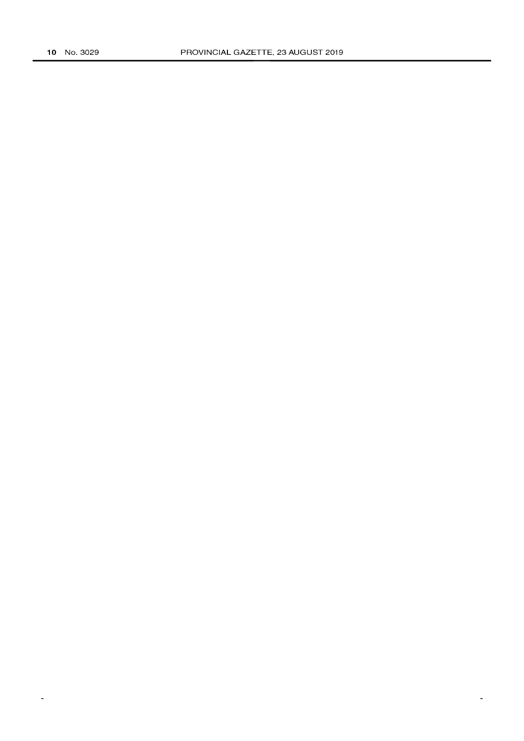$\hat{\mathcal{L}}$ 

 $\tilde{\phantom{a}}$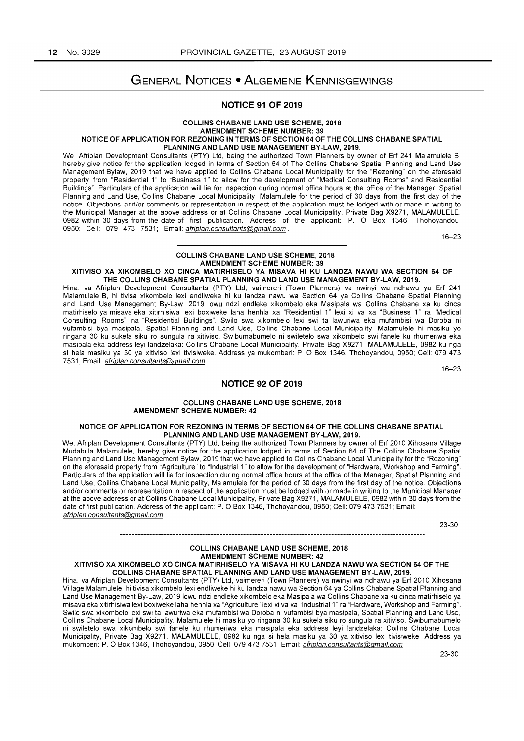# GENERAL NOTICES • ALGEMENE KENNISGEWINGS

## NOTICE 91 OF 2019

#### COLLINS CHABANE LAND USE SCHEME, 2018 AMENDMENT SCHEME NUMBER: 39 NOTICE OF APPLICATION FOR REZONING IN TERMS OF SECTION 64 OF THE COLLINS CHABANE SPATIAL PLANNING AND LAND USE MANAGEMENT BY-LAW, 2019.

We, Afriplan Development Consultants (PTY) Ltd, being the authorized Town Planners by owner of Erf 241 Malamulele B, hereby give notice for the application lodged in terms of Section 64 of The Collins Chabane Spatial Planning and Land Use Management Bylaw, 2019 that we have applied to Collins Chabane Local Municipality for the "Rezoning" on the aforesaid property from "Residential 1" to "Business 1" to allow for the development of "Medical Consulting Rooms" and Residential Buildings". Particulars of the application will lie for inspection during normal office hours at the office of the Manager, Spatial Planning and Land Use, Collins Chabane Local Municipality, Malamulele for the period of 30 days from the first day of the notice. Objections and/or comments or representation in respect of the application must be lodged with or made in writing to the Municipal Manager at the above address or at Collins Chabane Local Municipality, Private Bag X9271, MALAMULELE, 0982 within 30 days from the date of first publication. Address of the applicant: P. O. Box 1346, Thohoyandou, 0950; Cell: 079 473 7531; Email: afriplan.consultants@gmail.com.

16-23

# COLLINS CHABANE LAND USE SCHEME, 2018 AMENDMENT SCHEME NUMBER: 39

#### XITIVISO XA XIKOMBELO XO CINCA MATIRHISELO YA MISAVA HI KU LANDZA NAWU WA SECTION 64 OF THE COLLINS CHABANE SPATIAL PLANNING AND LAND USE MANAGEMENT BY-LAW, 2019.

Hina, va Afriplan Development Consultants (PTY) Ltd, vaimereri (Town Planners) va nwinyi wa ndhawu ya Erf 241 Malamulele B, hi tivisa xikombelo lexi endliweke hi ku landza nawu wa Section 64 ya Collins Chabane Spatial Planning and Land Use Management By-Law, 2019 lowu ndzi endleke xikombelo eka Masipala wa Collins Chabane xa ku cinca matirhiselo ya misava eka xitirhisiwa lexi boxiweke laha henhla xa "Residential 1" lexi xi va xa "Business 1" ra "Medical Consulting Rooms" na "Residential Buildings". Swilo swa xikombelo lexi swi ta lawuriwa eka mufambisi wa Doroba ni vufambisi bya masipala, Spatial Planning and Land Use, Collins Chabane Local Municipality, Malamulele hi masiku yo ringana 30 ku sukela siku ro sungula ra xitiviso. Swibumabumelo ni swiletelo swa xikombelo swi fanele ku rhumeriwa eka masipala eka address leyi landzelaka: Collins Chabane Local Municipality, Private Bag X9271, MALAMULELE, 0982 ku nga si hela masiku ya 30 ya xitiviso lexi tivisiweke. Address ya mukomberi: P. 0 Box 1346, Thohoyandou, 0950; Cell: 079473 7531; Email: afriplan.consultants@gmail.com .

16-23

## NOTICE 92 OF 2019

#### COLLINS CHABANE LAND USE SCHEME, 2018 AMENDMENT SCHEME NUMBER: 42

#### NOTICE OF APPLICATION FOR REZONING IN TERMS OF SECTION 64 OF THE COLLINS CHABANE SPATIAL PLANNING AND LAND USE MANAGEMENT BY-LAW, 2019.

We, Afriplan Development Consultants (PTY) Ltd, being the authorized Town Planners by owner of Erf 2010 Xihosana Village Mudabula Malamulele, hereby give notice for the application lodged in terms of Section 64 of The Collins Chabane Spatial Planning and Land Use Management Bylaw, 2019 that we have applied to Collins Chabane Local Municipality for the "Rezoning" on the aforesaid property from "Agriculture" to "Industrial 1" to allow for the development of "Hardware, Workshop and Farming". Particulars of the application will lie for inspection during normal office hours at the office of the Manager, Spatial Planning and Land Use, Collins Chabane Local Municipality, Malamulele for the period of 30 days from the first day of the notice. Objections and/or comments or representation in respect of the application must be lodged with or made in writing to the Municipal Manager at the above address or at Collins Chabane Local Municipality, Private Bag X9271, MALAMULELE, 0982 within 30 days from the date of first publication. Address of the applicant: P. 0 Box 1346, Thohoyandou, 0950; Cell: 0794737531; Email: afriplan.consultants@gmail.com

23-30

#### COLLINS CHABANE LAND USE SCHEME, 2018 AMENDMENT SCHEME NUMBER: 42 XITIVISO XA XIKOMBELO XO CINCA MATIRHISELO YA MISAVA HI KU LANDZA NAWU WA SECTION 64 OF THE COLLINS CHABANE SPATIAL PLANNING AND LAND USE MANAGEMENT BY-LAW, 2019.

Hina, va Afriplan Development Consultants (PTY) Ltd, vaimereri (Town Planners) va nwinyi wa ndhawu ya Erf 2010 Xihosana Village Malamulele, hi tivisa xikombelo lexi endliweke hi ku landza nawu wa Section 64 ya Collins Chabane Spatial Planning and Land Use Management By-Law, 2019 lowu ndzi endleke xikombelo eka Masipala wa Collins Chabane xa ku cinca matirhiselo ya misava eka xitirhisiwa lexi boxiweke laha henhla xa "Agriculture" lexi xi va xa "Industrial 1 " ra "Hardware, Workshop and Farming". Swilo swa xikombelo lexi swi ta lawuriwa eka mufambisi wa Doroba ni vufambisi bya masipala, Spatial Planning and Land Use, Collins Chabane Local Municipality, Malamulele hi masiku yo ringana 30 ku sukela siku ro sungula ra xitiviso. Swibumabumelo ni swiletelo swa xikombelo swi fanele ku rhumeriwa eka masipala eka address leyi landzelaka: Collins Chabane Local Municipality, Private Bag X9271 , MALAMULELE, 0982 ku nga si hela masiku ya 30 ya xitiviso lexi tivisiweke. Address ya mukomberi: P. 0 Box 1346, Thohoyandou, 0950; Cell: 0794737531; Email: afriplan.consultants@gmail.com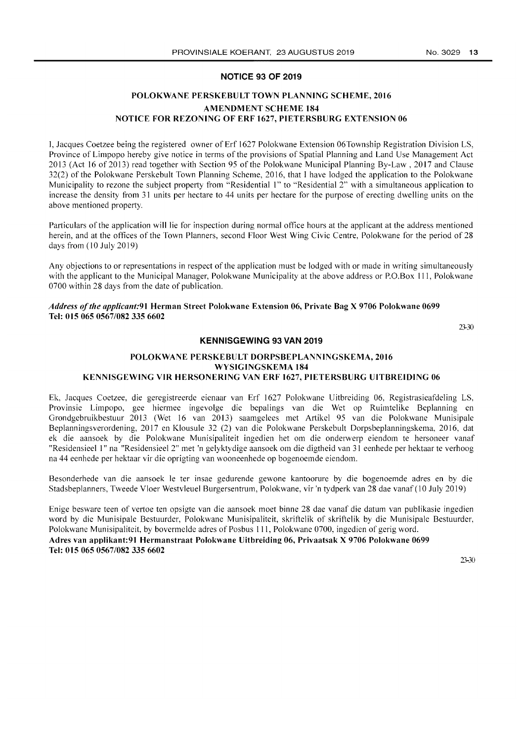#### NOTICE 93 OF 2019

# POLOKWANE PERSKEBULT TOWN PLANNING SCHEME, 2016 **AMENDMENT SCHEME 184** NOTICE FOR REZONING OF ERF 1627, PIETERSBURG EXTENSION 06

I, Jacques Coetzee being the registered owner of Erf 1627 Polokwane Extension 06Township Registration Division LS, Province of Limpopo hereby give notice in terms of the provisions of Spatial Planning and Land Use Management Act 2013 (Act 16 of 2013) read together with Section 95 of the Polokwane Municipal Planning By-Law, 2017 and Clause 32(2) of the Polokwane Perskebult Town Planning Scheme, 2016, that I have lodged the application to the Polokwane Municipality to rezone the subject property from "Residential 1" to "Residential 2" with a simultaneous application to increase the density from 31 units per hectare to 44 units per hectare for the purpose of erecting dwelling units on the above mentioned property.

Particulars ofthe application will lie for inspection during normal office hours at the applicant at the address mentioned herein, and at the offices of the Town Planners, second Floor West Wing Civic Centre, Polokwane for the period of 28 days from (10 July 2019)

Any objections to or representations in respect of the application must be lodged with or made in writing simultaneously with the applicant to the Municipal Manager, Polokwane Municipality at the above address or P.O.Box 111, Polokwane 0700 within 28 days from the date of publication.

*Address oftlte applicant:91* Herman Street Polokwane Extension 06, Private Bag X 9706 Polokwane 0699 Tel: 0150650567/0823356602

23-30

#### KENNISGEWING 93 VAN 2019

#### POLOKWANE PERSKEBULT DORPSBEPLANNINGSKEMA, 2016 WYSIGINGSKEMA 184 KENNISGEWING VIR HERSONERING VAN ERF 1627, PIETERSBURG UITBREIDING 06

Ek, Jacques Coetzee, die geregistreerde eienaar van Erf 1627 Polokwane Uitbreiding 06, Registrasieafdeling LS, Provinsie Limpopo, gee hiermee ingevolge die bepalings van die Wet op Ruimtelike Beplanning en Grondgebruikbestuur 2013 (Wet 16 van 2013) saamgelees met Artikel 95 van die Polokwane Munisipale Beplanningsverordening, 2017 en Klousule 32 (2) van die Polokwane Perskebult Dorpsbeplanningskema, 2016, dat ek die aansoek by die Polokwane Munisipaliteit ingedien het om die onderwerp eiendom te hersoneer vanaf "Residensieel 1" na "Residensieel 2" met 'n gelyktydige aansoek om die digtheid van 31 eenhede per hektaar te verhoog na 44 eenhede per hektaar vir die oprigting van wooneenhede op bogenoemde eiendom.

Besonderhede van die aansoek Ie ter insae gedurende gewone kantoorure by die bogenoemde adres en by die Stadsbeplanners, Tweede Vloer Westvleuel Burgersentrum, Polokwane, vir 'n tydperk van 28 dae vanaf (10 July 2019)

Enige besware teen of vertoe ten opsigte van die aansoek moet binne 28 dae vanaf die datum van publikasie ingedien word by die Munisipale Bestuurder, Polokwane Munisipaliteit, skriftelik of skriftelik by die Munisipale Bestuurder, Polokwane Munisipaliteit, by bovermelde adres of Posbus Ill, Polokwane 0700, ingedien of gerig word. Adres van applikant:91 Hermanstraat Polokwane Uitbreiding 06, Privaatsak X 9706 Polokwane 0699 Tel: 0150650567/0823356602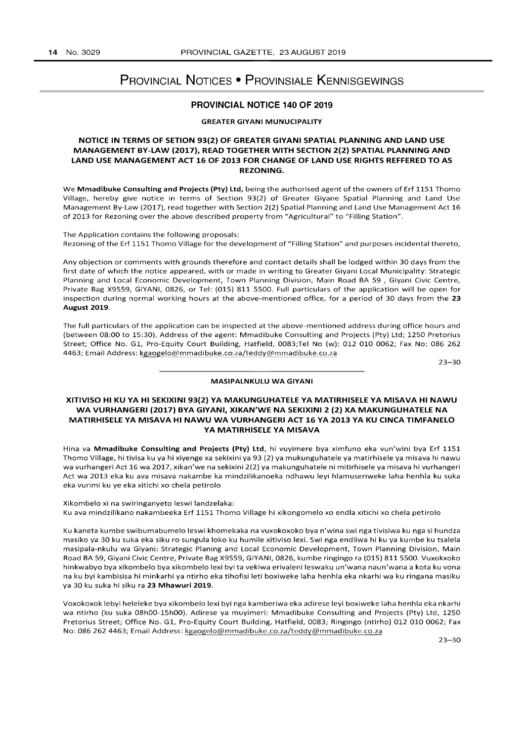# PROVINCIAL NOTICES • PROVINSIALE KENNISGEWINGS

# PROVINCIAL NOTICE 140 OF 2019

#### GREATER GIVANI MUNUCIPAlITV

#### NOTICE IN TERMS OF SETION 93(2) OF GREATER GIVANI SPATIAL PLANNING AND LAND USE MANAGEMENT BV-LAW (2017), READ TOGETHER WITH SECTION 2(2) SPATIAL PLANNING AND LAND USE MANAGEMENT ACT 16 OF 2013 FOR CHANGE OF LAND USE RIGHTS REFFERED TO AS REZONING.

We Mmadibuke Consulting and Projects (Pty) Ltd, being the authorised agent of the owners of Erf 1151 Thomo Village, hereby give notice in terms of Section 93(2) of Greater Giyane Spatial Planning and Land Use Management By-Law (2017), read together with Section 2(2) Spatial Planning and Land Use Management Act 16 of 2013 for Rezoning over the above described property from "Agricultural" to "Filling Station".

The Application contains the following proposals: Rezoning of the Erf 1151 Thomo Village for the development of "Filling Station" and purposes incidental thereto,

Any objection or comments with grounds therefore and contact details shall be lodged within 30 days from the first date of which the notice appeared, with or made in writing to Greater Giyani Local Municipality: Strategic Planning and Local Economic Development, Town Planning Division, Main Road BA 59 , Giyani Civic Centre, Private Bag X9559, GIYANI, 0826, or Tel: (015) 811 5500. Full particulars of the application will be open for inspection during normal working hours at the above-mentioned office, for a period of 30 days from the 23 August 2019.

The full particulars of the application can be inspected at the above-mentioned address during office hours and (between 08:00 to 15:30). Address of the agent: Mmadibuke Consulting and Projects (Pty) Ltd; 1250 Pretorius Street; Office No. Gl, Pro-Equity Court Building, Hatfield, 0083;Tel No (w): 012 010 0062; Fax No: 086 262 4463; Email Address:kgaogelo@mmadibuke.co.za/teddy@mmadibuke.co.za

23-30

#### MASIPALNKULU WA GIVANI

#### XITIVISO HI KU VA HI SEKIXINI 93(2) VA MAKUNGUHATELE VA MATIRHISELE VA MISAVA HI NAWU WA VURHANGERI (2017) BVA GIVANI, XIKAN'WE NA SEKIXINI 2 (2) XA MAKUNGUHATELE NA MATIRHISELE VA MISAVA HI NAWU WA VURHANGERI ACT 16 VA 2013 VA KU CINCA TIMFANELO VA MATIRHISELE VA MISAVA

Hina va Mmadibuke Consulting and Projects (Pty) Ltd, hi vuyimere bya ximfuno eka vun'wini bya Erf 1151 Thomo Village, hi tivisa ku ya hi xiyenge xa sekixini ya 93 (2) ya mukunguhatele ya matirhisele ya misava hi nawu wa vurhangeri Act 16 wa 2017, xikan'we na sekixini 2(2) ya makunguhatele ni mitirhisele ya misava hi vurhangeri Act wa 2013 eka ku ava misava nakambe ka mindzilikanoeka ndhawu leyi hlamuseriweke laha henhla ku suka eka vurimi ku ye eka xitichi xo chela petirolo

#### Xikombelo xi na swiringanyeto leswi landzelaka: Ku ava mindzilikano nakambeeka Erf 1151 Thomo Village hi xikongomelo xo endla xitichi xo chela petirolo

Ku kaneta kumbe swibumabumelo leswi khomekaka na vuxokoxoko bya n'wina swi nga tivisiwa ku nga si hundza masiko ya 30 ku suka eka siku ro sungula loko ku humile xitiviso lexi. Swi nga endliwa hi ku ya kumbe ku tsalela masipala-nkulu wa Giyani: Strategic Planing and Local Economic Development, Town Planning Division, Main Road BA 59, Giyani Civic Centre, Private Bag X9559, GIYANI, 0826, kumbe ringingo ra (015) 8115500. Vuxokxoko hinkwabyo bya xikombelo bya xikombelo lexi byi ta vekiwa erivaleni leswaku un'wana naun'wana a kota ku vona na ku byi kambisisa hi minkarhi ya ntirho eka tihofisi leti boxiweke laha henhla eka nkarhi wa ku ringana masiku ya 30 ku suka hi siku ra 23 Mhawuri 2019.

Voxokoxok lebyi heleleke bya xikombelo lexi byi nga kamberiwa eka adirese leyi boxiweke laha henhla eka nkarhi wa ntirho (ku suka 08hOO-15hOO). Adirese ya muyimeri: Mmadibuke Consulting and Projects (Pty) Ltd, 1250 Pretorius Street; Office No. Gl, Pro-Equity Court Building, Hatfield, 0083; Ringingo (ntirho) 012 0100062; Fax No: 086 262 4463; Email Address: kgaogelo@mmadibuke.co.za/teddy@mmadibuke.co.za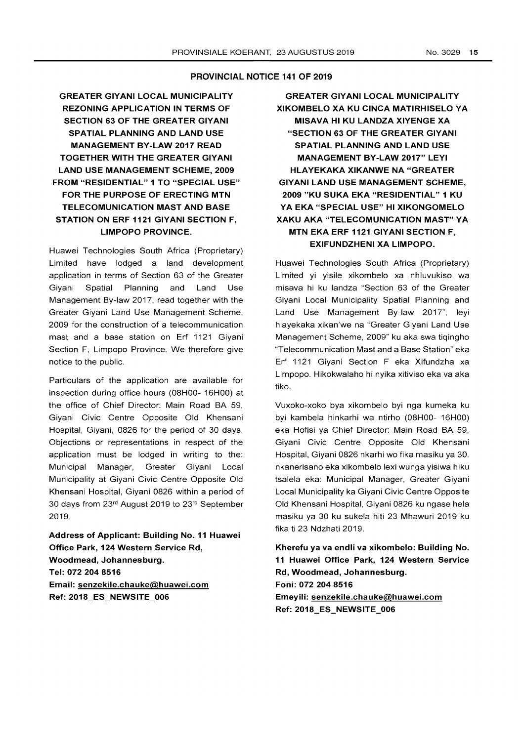## **PROVINCIAL NOTICE 141 OF 2019**

**GREATER GIYANILOCAL MUNICIPALITY REZONING APPLICATION IN TERMS OF SECTION 63 OF THE GREATER GIYANI SPATIAL PLANNING AND LAND USE MANAGEMENT BY-LAW 2017 READ TOGETHER WITH THE GREATER GIYANI LAND USE MANAGEMENT SCHEME, 2009 FROM "RESIDENTIAL" 1 TO "SPECIAL USE" FOR THE PURPOSE OF ERECTING MTN TELECOMUNICATION MAST AND BASE STATION ON ERF 1121 GIYANI SECTION F, LIMPOPO PROVINCE.** 

Huawei Technologies South Africa (Proprietary) Limited have lodged a land development application in terms of Section 63 of the Greater Giyani Spatial Planning and Land Use Management By-law 2017, read together with the Greater Giyani Land Use Management Scheme, 2009 for the construction of a telecommunication mast and a base station on Erf 1121 Giyani Section F, Limpopo Province. We therefore give notice to the public.

Particulars of the application are available for inspection during office hours (08HOO- 16HOO) at the office of Chief Director: Main Road BA 59, Giyani Civic Centre Opposite Old Khensani Hospital, Giyani, 0826 for the period of 30 days. Objections or representations in respect of the application must be lodged in writing to the: Municipal Manager, Greater Giyani Local Municipality at Giyani Civic Centre Opposite Old Khensani Hospital, Giyani 0826 within a period of 30 days from 23rd August 2019 to 23rd September 2019.

**Address of Applicant: Building No. 11 Huawei Office Park, 124 Western Service Rd,**  Wood mead, **Johannesburg. Tel: 072 204 8516 Email: senzekile.chauke@huawei.com Ref: 2018\_ES\_NEWSITE\_006** 

**GREATER GIYANILOCAL MUNICIPALITY XIKOMBELO XA KU CINCA MATIRHISELO YA MISAVA HI KU LANDZA XIYENGE XA "SECTION 63 OF THE GREATER GIYANI SPATIAL PLANNING AND LAND USE MANAGEMENT BY-LAW 2017" LEYI HLAYEKAKA XIKANWE NA "GREATER GIYANILAND USE MANAGEMENT SCHEME, 2009 "KU SUKA EKA "RESIDENTIAL" 1 KU YA EKA "SPECIAL USE" HI XIKONGOMELO XAKU AKA "TELECOMUNICATION MAST" YA MTN EKA ERF 1121 GIYANI SECTION F, EXIFUNDZHENI XA LIMPOPO.** 

Huawei Technologies South Africa (Proprietary) Limited yi yisile xikombelo xa nhluvukiso wa misava hi ku landza "Section 63 of the Greater Giyani Local Municipality Spatial Planning and Land Use Management By-law 2017", leyi hlayekaka xikan'we na "Greater Giyani Land Use Management Scheme, 2009" ku aka swa tiqingho 'Telecommunication Mast and a Base Station" eka Erf 1121 Giyani Section F eka Xifundzha xa Limpopo. Hikokwalaho hi nyika xitiviso eka va aka tiko.

Vuxoko-xoko bya xikombelo byi nga kumeka ku byi kambela hinkarhi wa ntirho (08HOO- 16HOO) eka Hofisi ya Chief Director: Main Road BA 59, Giyani Civic Centre Opposite Old Khensani Hospital, Giyani 0826 nkarhi wo fika masiku ya 30. nkanerisano eka xikombelo lexi wunga yisiwa hiku tsalela eka: Municipal Manager, Greater Giyani Local Municipality ka Giyani Civic Centre Opposite Old Khensani Hospital, Giyani 0826 ku ngase hela masiku ya 30 ku sukela hiti 23 Mhawuri 2019 ku fika ti 23 Ndzhati 2019.

**Kherefu ya va endli va xikombelo: Building No. 11 Huawei Office Park, 124 Western Service Rd, Woodmead, Johannesburg. Foni: 072 2048516 Emeyili: senzekile.chauke@huawei.com Ref: 2018\_ES\_NEWSITE\_006**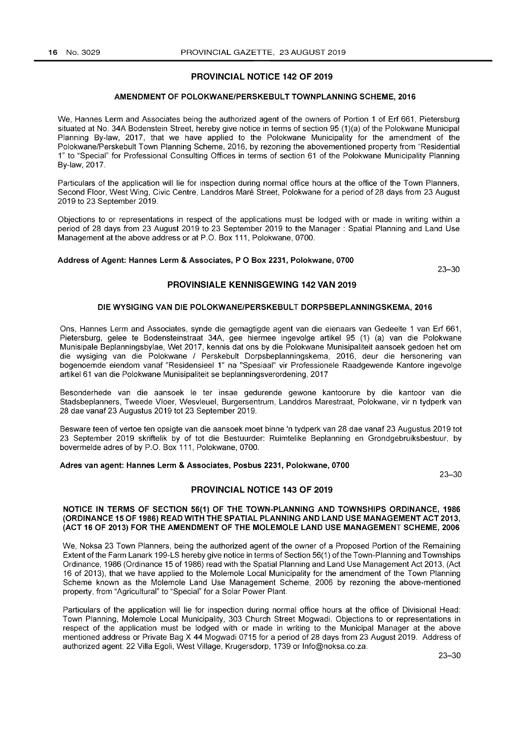## PROVINCIAL NOTICE 142 OF 2019

#### AMENDMENT OF POLOKWANE/PERSKEBULT TOWNPLANNING SCHEME, 2016

We, Hannes Lerm and Associates being the authorized agent of the owners of Portion 1 of Erf 661, Pietersburg situated at No. 34A Bodenstein Street, hereby give notice in terms of section 95 (1)(a) of the Polokwane Municipal Planning By-law, 2017, that we have applied to the Polokwane Municipality for the amendment of the Polokwane/Perskebult Town Planning Scheme, 2016, by rezoning the abovementioned property from "Residential 1" to "Special" for Professional Consulting Offices in terms of section 61 of the Polokwane Municipality Planning By-law, 2017.

Particulars of the application will lie for inspection during normal office hours at the office of the Town Planners, Second Floor, West Wing, Civic Centre, Landdros Mare Street, Polokwane for a period of 28 days from 23 August 2019 to 23 September 2019.

Objections to or representations in respect of the applications must be lodged with or made in writing within a period of 28 days from 23 August 2019 to 23 September 2019 to the Manager: Spatial Planning and Land Use Management at the above address or at P.O. Box 111, Polokwane, 0700.

## Address of Agent: Hannes Lerm & Associates, POBox 2231, Polokwane, 0700

23-30

## PROVINSIALE KENNISGEWING 142 VAN 2019

#### DIE WYSIGING VAN DIE POLOKWANE/PERSKEBULT DORPSBEPLANNINGSKEMA, 2016

Ons, Hannes Lerm and Associates, synde die gemagtigde agent van die eienaars van Gedeelte 1 van Erf 661, Pietersburg, gelee te Bodensteinstraat 34A, gee hiermee ingevolge artikel 95 (1) (a) van die Polokwane Munisipale Beplanningsbylae, Wet 2017, kennis dat ons by die Polokwane Munisipaliteit aansoek gedoen het om die wysiging van die Polokwane / Perskebult Dorpsbeplanningskema, 2016, deur die hersonering van bogenoemde eiendom vanaf "Residensieel 1" na "Spesiaal" vir Professionele Raadgewende Kantore ingevolge artikel 61 van die Polokwane Munisipaliteit se beplanningsverordening, 2017

Besonderhede van die aansoek Ie ter insae gedurende gewone kantoorure by die kantoor van die Stadsbeplanners, Tweede Vloer, Wesvleuel, Burgersentrum, Landdros Marestraat, Polokwane, vir n tydperk van 28 dae vanaf 23 Augustus 2019 tot 23 September 2019.

Besware teen of vertoe ten opsigte van die aansoek moet binne 'n tydperk van 28 dae vanaf 23 Augustus 2019 tot 23 September 2019 skriftelik by of tot die Bestuurder: Ruimtelike Beplanning en Grondgebruiksbestuur, by bovermelde adres of by P.O. Box 111, Polokwane, 0700.

#### Adres van agent: Hannes Lerm & Associates, Posbus 2231, Polokwane, 0700

23-30

#### PROVINCIAL NOTICE 143 OF 2019

#### NOTICE IN TERMS OF SECTION 56(1) OF THE TOWN-PLANNING AND TOWNSHIPS ORDINANCE, 1986 (ORDINANCE 15 OF 1986) READ WITH THE SPATIAL PLANNING AND LAND USE MANAGEMENT ACT 2013, (ACT 16 OF 2013) FOR THE AMENDMENT OF THE MOLE MOLE LAND USE MANAGEMENT SCHEME, 2006

We, Noksa 23 Town Planners, being the authorized agent of the owner of a Proposed Portion of the Remaining Extent of the Farm Lanark 199-LS hereby give notice in terms of Section 56(1) of the Town-Planning and Townships Ordinance, 1986 (Ordinance 15 of 1986) read with the Spatial Planning and Land Use Management Act 2013, (Act 16 of 2013), that we have applied to the Molemole Local Municipality for the amendment of the Town Planning Scheme known as the Molemole Land Use Management Scheme, 2006 by rezoning the above-mentioned property, from "Agricultural" to "Special" for a Solar Power Plant.

Particulars of the application will lie for inspection during normal office hours at the office of Divisional Head: Town Planning, Molemole Local Municipality, 303 Church Street Mogwadi. Objections to or representations in respect of the application must be lodged with or made in writing to the Municipal Manager at the above mentioned address or Private Bag X 44 Mogwadi 0715 for a period of 28 days from 23 August 2019. Address of authorized agent: 22 Villa Egoli, West Village, Krugersdorp, 1739 or Info@noksa.co.za.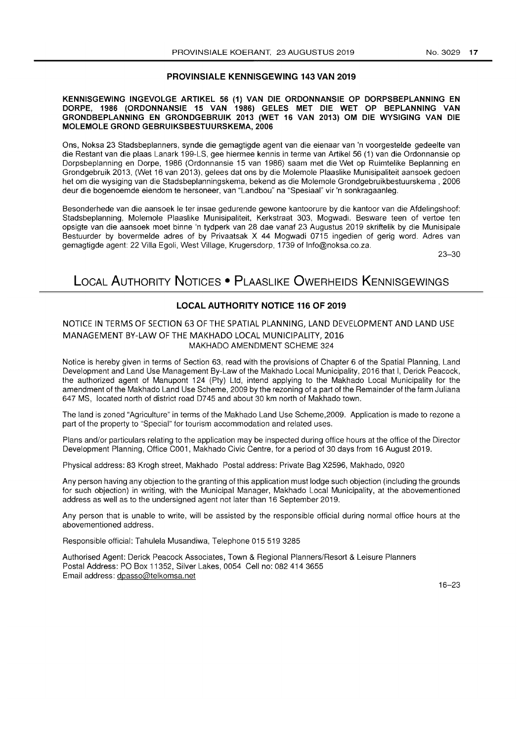#### **PROVINSIALE KENNISGEWING 143 VAN 2019**

#### **KENNISGEWING INGEVOLGE ARTIKEL 56 (1) VAN DIE ORDONNANSIE OP DORPSBEPLANNING EN DORPE, 1986 (ORDONNANSIE 15 VAN 1986) GELES MET DIE WET OP BEPLANNING VAN GRONDBEPLANNING EN GRONDGEBRUIK 2013 (WET 16 VAN 2013) OM DIE WYSIGING VAN DIE**  MOLE MOLE **GROND GEBRUIKSBESTUURSKEMA, 2006**

Ons, Noksa 23 Stadsbeplanners, synde die gemagtigde agent van die eienaar van 'n voorgestelde gedeelte van die Restant van die plaas Lanark 199-LS, gee hiermee kennis in terme van Artikel 56 (1) van die Ordonnansie op Dorpsbeplanning en Dorpe, 1986 (Ordonnansie 15 van 1986) saam met die Wet op Ruimtelike Beplanning en Grondgebruik 2013, (Wet 16 van 2013), gelees dat ons by die Molemole Plaaslike Munisipaliteit aansoek gedoen het om die wysiging van die Stadsbeplanningskema, bekend as die Molemole Grondgebruikbestuurskema , 2006 deur die bogenoemde eiendom te hersoneer, van "Landbou" na "Spesiaal" vir 'n sonkragaanleg.

Besonderhede van die aansoek Ie ter insae gedurende gewone kantoorure by die kantoor van die Afdelingshoof: Stadsbeplanning, Molemole Plaaslike Munisipaliteit, Kerkstraat 303, Mogwadi. Besware teen of vertoe ten opsigte van die aansoek moet binne 'n tydperk van 28 dae vanaf 23 Augustus 2019 skriftelik by die Munisipale Bestuurder by bovermelde adres of by Privaatsak X 44 Mogwadi 0715 ingedien of gerig word. Adres van gemagtigde agent: 22 Villa Egoli, West Village, Krugersdorp, 1739 of Info@noksa.co.za.

23-30

# **LOCAL AUTHORITY NOTICES • PLAASLIKE OWERHEIDS KENNISGEWINGS**

# **LOCAL AUTHORITY NOTICE 116 OF 2019**

## NOTICE IN TERMS OF SECTION 63 OF THE SPATIAL PLANNING, LAND DEVELOPMENT AND LAND USE MANAGEMENT BY-LAW OF THE MAKHADO LOCAL MUNICIPALITY, 2016 MAKHADO AMENDMENT SCHEME 324

Notice is hereby given in terms of Section 63, read with the provisions of Chapter 6 of the Spatial Planning, Land Development and Land Use Management By-Law of the Makhado Local Municipality, 2016 that I, Derick Peacock, the authorized agent of Manupont 124 (Pty) Ltd, intend applying to the Makhado Local Municipality for the amendment of the Makhado Land Use Scheme, 2009 by the rezoning of a part of the Remainder of the farm Juliana 647 MS, located north of district road D745 and about 30 km north of Makhado town.

The land is zoned "Agriculture" in terms of the Makhado Land Use Scheme,2009. Application is made to rezone a part of the property to "Special" for tourism accommodation and related uses.

Plans and/or particulars relating to the application may be inspected during office hours at the office of the Director Development Planning, Office C001, Makhado Civic Centre, for a period of 30 days from 16 August 2019.

Physical address: 83 Krogh street, Makhado Postal address: Private Bag X2596, Makhado, 0920

Any person having any objection to the granting of this application must lodge such objection (including the grounds for such objection) in writing, with the Municipal Manager, Makhado Local Municipality, at the abovementioned address as well as to the undersigned agent not later than 16 September 2019.

Any person that is unable to write, will be assisted by the responsible official during normal office hours at the abovementioned address.

Responsible official: Tahulela Musandiwa, Telephone 015 519 3285

Authorised Agent: Derick Peacock Associates, Town & Regional Planners/Resort & Leisure Planners Postal Address: PO Box 11352, Silver Lakes, 0054 Cell no: 082 414 3655 Email address:dpasso@telkomsa.net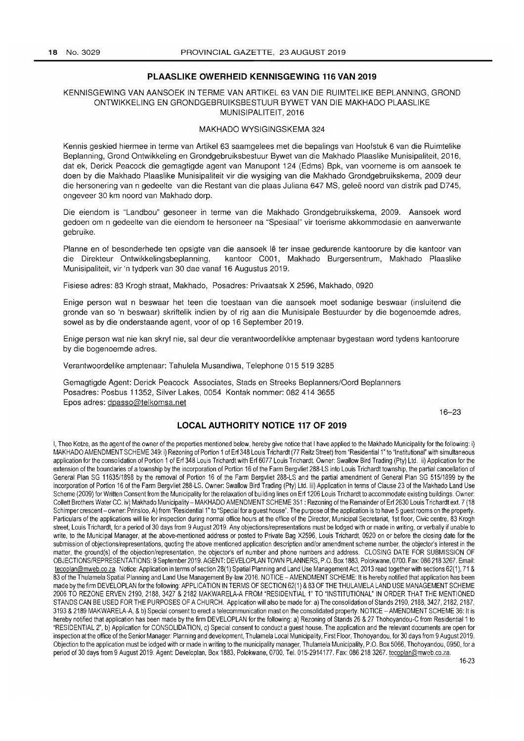## **PLAASLIKE OWERHEID KENNISGEWING 116 VAN 2019**

#### KENNISGEWING VAN AANSOEK IN TERME VAN ARTIKEL 63 VAN DIE RUIMTELIKE BEPLANNING, GROND ONTWIKKELING EN GRONDGEBRUIKSBESTUUR BYWET VAN DIE MAKHADO PLAASLIKE MUNISIPALITEIT,2016

#### MAKHADO WYSIGINGSKEMA 324

Kennis geskied hiermee in terme van Artikel 63 saamgelees met die bepalings van Hoofstuk 6 van die Ruimtelike Beplanning, Grand Ontwikkeling en Grondgebruiksbestuur Bywet van die Makhado Plaaslike Munisipaliteit, 2016, dat ek, Derick Peacock die gemagtigde agent van Manupont 124 (Edms) Bpk, van voorneme is om aansoek te doen by die Makhado Plaaslike Munisipaliteit vir die wysiging van die Makhado Grondgebruikskema, 2009 deur die hersonering van n gedeelte van die Restant van die plaas Juliana 647 MS, gelee noord van distrik pad 0745, ongeveer 30 km noord van Makhado dorp.

Die eiendom is "Landbou" gesoneer in terme van die Makhado Grondgebruikskema, 2009. Aansoek word gedoen om n gedeelte van die eiendom te hersoneer na "Spesiaal" vir toerisme akkommodasie en aanverwante gebruike.

Planne en of besonderhede ten opsigte van die aansoek Ie ter insae gedurende kantoorure by die kantoor van die Direkteur Ontwikkelingsbeplanning, kantoor C001, Makhado Burgersentrum, Makhado Plaaslike Munisipaliteit, vir 'n tydperk van 30 dae vanaf 16 Augustus 2019.

Fisiese adres: 83 Krogh straat, Makhado, Posadres: Privaatsak X 2596, Makhado, 0920

Enige person wat n beswaar het teen die toestaan van die aansoek moet sodanige beswaar (insluitend die gronde van so 'n beswaar) skriftelik indien by of rig aan die Munisipale Bestuurder by die bogenoemde adres, sowel as by die onderstaande agent, voor of op 16 September 2019.

Enige person wat nie kan skryf nie, sal deur die verantwoordelikke amptenaar bygestaan word tydens kantoorure by die bogenoemde adres.

Verantwoordelike amptenaar: Tahulela Musandiwa, Telephone 015 519 3285

Gemagtigde Agent: Derick Peacock Associates, Stads en Streeks Beplanners/Oord Beplanners Posadres: Posbus 11352, Silver Lakes, 0054 Kontak nommer: 082 414 3655 Epos adres: dpasso@telkomsa.net

16-23

## **LOCAL AUTHORITY NOTICE 117 OF 2019**

I, Theo Kotze, as the agent of the owner of the properties mentioned below, hereby give notice that I have applied to the Makhado Municipality for the following: i) MAKHADO AMENDMENT SCHEME 349: i) Rezoning of Portion 1 of Erf 348 Louis Trichardt (77 Reitz Street) from "Residential 1" to "Institutional" with simultaneous application for the consolidation of Portion 1 of Erf 348 Louis Trichardt with Erf 6077 Louis Trichardt. Owner: Swallow Bird Trading (Pty) Ltd. ii) Application for the extension of the boundaries of a township by the incorporation of Portion 16 of the Farm Bergvliet 288-LS into Louis Trichardt township, the partial cancellation of General Plan SG 11635/1898 by the removal of Portion 16 of the Farm Bergvliet 288-LS and the partial amendment of General Plan SG 515/1899 by the incorporation of Portion 16 of the Farm Bergvliet 288-LS. Owner: Swallow Bird Trading (Pty) Ltd. iii) Application in terms of Clause 23 of the Makhado Land Use Scheme (2009) for Written Consent from the Municipality for the relaxation of building lines on Erf 1206 Louis Trichardt to accommodate existing buildings. Owner: Collett Brothers Water CC. iv) Makhado Municipality - MAKHADO AMENDMENT SCHEME 351 : Rezoning of the Remainder of Erf 2630 Louis Trichardt ext. 7 (18 Schimper crescent- owner: Prinsloo, A) from "Residential 1" to "Special for a guest house". The purpose of the application is to have 5 guest rooms on the property. Particulars of the applications will lie for inspection during normal office hours at the office of the Director, Municipal Secretariat, 1st floor, Civic centre, 83 Krogh street, Louis Trichardt, for a period of 30 days from 9 August 2019. Any objections/representations must be lodged with or made in writing, or verbally if unable to write, to the Municipal Manager, at the above-mentioned address or posted to Private Bag X2596, Louis Trichardt, 0920 on or before the closing date for the submission of objections/representations, quoting the above mentioned application description and/or amendment scheme number, the objector's interest in the matter, the ground(s) of the objection/representation, the objector's erf number and phone numbers and address. CLOSING DATE FOR SUBMISSION OF OBJECTIONS/REPRESENTATIONS: 9 September 2019. AGENT: DEVELOPLAN TOWN PLANNERS, P.O. Box 1883, Polokwane, 0700. Fax: 086 218 3267. Email: tecoplan@mweb.co.za. Notice: Application in terms of section 28(1) Spatial Planning and Land Use Management Act, 2013 read together with sections 62(1), 71 & 83 of the Thulamela Spatial Planning and Land Use Management By-law 2016. NOTICE - AMENDMENT SCHEME: It is hereby notified that application has been made by the firm DEVELOPLAN for the following: APPLICATION IN TERMS OF SECTION 62(1) & 83 OF THE THULAMELA LAND USE MANAGEMENT SCHEME 2006 TO REZONE ERVEN 2190, 2188, 3427 & 2182 MAKWARELA-A FROM "RESIDENTIAL 1" TO "INSTITUTIONAL" IN ORDER THAT THE MENTIONED STANDS CAN BE USED FOR THE PURPOSES OF A CHURCH. Application will also be made for: a) The consolidation of Stands 2190, 2188, 3427, 2182, 2187, 3193 & 2189 MAKWARELA-A, & b) Special consentto erect a telecommunication mast on the consolidated property. NOTICE - AMENDMENT SCHEME 36: It is hereby notified that application has been made by the firm DEVELOPLAN for the following: a) Rezoning of Stands 26 & 27 Thohoyandou-C from Residential 1 to "RESIDENTIAL 2", b) Application for CONSOLIDATION, c) Special consent to conduct a guest house. The application and the relevant documents are open for inspection at the office of the Senior Manager: Planning and development, Thulamela Local Municipality, First Floor, Thohoyandou, for 30 days from 9 August 2019. Objection to the application must be lodged with or made in writing to the municipality manager, Thulamela Municipality, P.O. Box 5066, Thohoyandou, 0950, for a period of 30 days from 9 August 2019. Agent: Developlan, Box 1883, Polokwane, 0700, Tel. 015-2914177. Fax: 086 218 3267. tecoplan@mweb.co.za.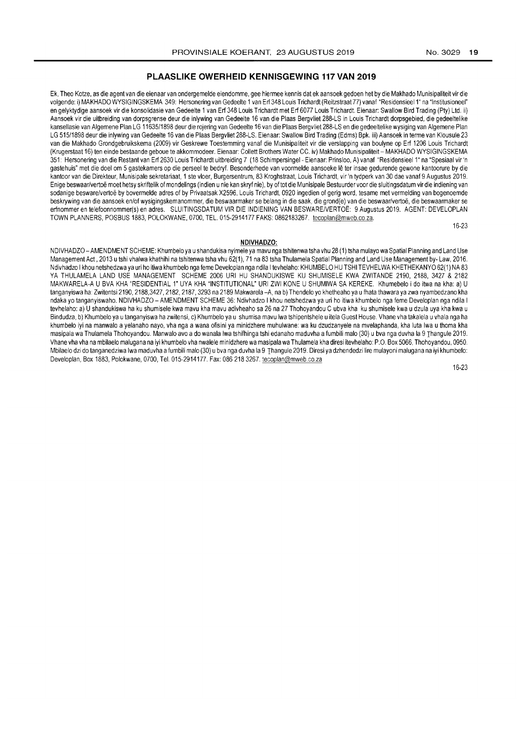### **PLAASLIKE OWERHEID KENNISGEWING 117 VAN 2019**

Ek, Theo Kotze, as die agent van die eienaar van ondergemelde eiendomme, gee hiermee kennis dat ek aansoek gedoen het by die Makhado Munisipaliteit vir die volgende: i) MAKHADO WYSIGINGSKEMA 349: Hersonering van Gedeelte 1 van Erf 348 Louis Trichardt (Reitzstraat77) vanaf "ResidensieeI1" na "Institusioneel" en gelyktydige aansoek vir die konsolidasie van Gedeelte 1 van Erf 348 Louis Trichardt met Erf 6077 Louis Trichardt. Eienaar: Swallow Bird Trading (Pty) Ltd. ii) Aansoek vir die uitbreiding van dorpsgrense deur die inlywing van Gedeelte 16 van die Plaas Bergvliet 288-LS in Louis Trichardt dorpsgebied, die gedeeltelike kansellasie van Aigemene Plan LG 11635/1898 deur die rojering van Gedeelte 16 van die Plaas Bergvliet 288-LS en die gedeeltelike wysiging van Aigemene Plan LG 515/1898 deur die inlywing van Gedeelte 16 van die Plaas Bergvliet 288-LS. Eienaar: Swallow Bird Trading (Edms) Bpk. iii) Aansoek in terme van Klousule 23 van die Makhado Grondgebruikskema (2009) vir Geskrewe Toestemming vanaf die Munisipaliteit vir die verslapping van boulyne op Erf 1206 Louis Trichardt (Krugerstaat 16) ten einde bestaande geboue te akkommodeer. Eienaar: Collett Brothers Water CC. iv) Makhado Munisipaliteit - MAKHADO WYSIGINGSKEMA 351: Hersonering van die Restant van Erf 2630 Louis Trichardt uitbreiding 7 (18 Schimpersingel- Eienaar: Prinsloo, A) vanaf "ResidensieeI1" na "Spesiaal vir 'n gastehuis" met die doel om 5 gastekamers op die perseel te bedryf. Besonderhede van voormelde aansoeke Ie ter insae gedurende gewone kantoorure by die kantoor van die Direkteur, Munisipale sekretariaat, 1 ste vloer, Burgersentrum, 83 Kroghstraat, Louis Trichardt, vir 'n tydperk van 30 dae vanaf 9 Augustus 2019. Enige beswaar/vertoë moet hetsy skriftelik of mondelings (indien u nie kan skryf nie), by of tot die Munisipale Bestuurder voor die sluitingsdatum vir die indiening van sodanige besware/vertoe by bovermelde adres of by Privaatsak X2596, Louis Trichardt, 0920 ingedien of gerig word, tesame met vermelding van bogenoemde beskrywing van die aansoek en/of wysigingskemanommer, die beswaarmaker se belang in die saak, die grond(e) van die beswaar/vertoë, die beswaarmaker se erfnommer en telefoonnommer(s) en adres. SLUITINGSDATUM VIR DIE INDIENING VAN BESWAREIVERTOE 9 Augustus 2019. AGENT: DEVELOPLAN TOWN PLANNERS, POSBUS 1883, POLOKWANE, 0700, TEL. 015-2914177 FAKS: 0862183267. tecoplan@mweb.coza.

16-23

#### **NDIVHADZO:**

NDIVHADZO - AMENDMENT SCHEME: Khumbelo ya u shandukisa nyimele ya mayu nga tshitenwa tsha yhu 28 (1) tsha mulayo wa Spatial Planning and Land Use Management Act, 2013 u tshi vhalwa khathihi na tshitenwa tsha vhu 62(1), 71 na 83 tsha Thulamela Spatial Planning and Land Use Management by- Law, 2016. Ndivhadzo I khou netshedzwa ya uri ho itiwa khumbelo nga feme Developlan nga ndila I tevhelaho: KHUMBELO HU TSHI TEVHELWA KHETHEKANYO 62(1) NA 83 YA THULAMELA LAND USE MANAGEMENT SCHEME 2006 URI HU SHANDUKISWE KU SHUMISELE KWA ZWITANDE 2190, 2188, 3427 & 2182 MAKWARELA-A U BVA KHA "RESIDENTIAL 1" UYA KHA "INSTITUTIONAL" URI ZWI KONE U SHUMIWA SA KEREKE. Khumebelo i do itwa na kha: a) U tanganyiswa ha: Zwitentsi 2190, 2188,3427, 2182, 2187, 3293 na 2189 Makwarela -A, na b) Thendelo yo khetheaho ya u fhata thawara ya zwa nyambedzano kha ndaka yo tanganyiswaho. NDIVHADZO - AMENDMENT SCHEME 36: Ndivhadzo I khou netshedzwa ya uri ho itiwa khumbelo nga feme Developlan nga ndila I tevhelaho: a) U shandukiswa ha ku shumisele kwa mavu kha mavu adivheaho sa 26 na 27 Thohoyandou C ubva kha ku shumisele kwa u dzula uya kha kwa u Bindudza, b) Khumbelo ya u tanganyiswa ha zwitensi, c) Khumbelo ya u shumisa mayu lwa tshipentshele u itela Guest House. Vhane yha takalela u yhala nga ha khumbelo iyi na manwalo a yelanaho nayo, vha nga a wana ofisini ya minidzhere muhulwane: wa ku dzudzanyele na mvelaphanda, kha luta Iwa u thoma kha masipala wa Thulamela Thohoyandou. Manwalo avo a do wanala Iwa tshifhinga tshi edanaho maduvha a fumbili malo (30) u bva nga duvha la 9 Thangule 2019. Vhane vha vha na mbilaelo malugana na iyi khumbelo vha nwalele minidzhere wa masipala wa Thulamela kha diresi itevhelaho: P.O. Box 5066, Thohoyandou, 0950. Mbilaelo dzi do tanganedziwa Iwa maduvha a fumbili malo (30) u bva nga duvha la 9 Thangule 2019. Diresi ya dzhendedzi lire mulayoni malugana na iyi khumbefo: Developlan, Box 1883, Polokwane, 0700, Tel. 015-2914177. Fax: 086 218 3267. tecoplan@mweb.co.za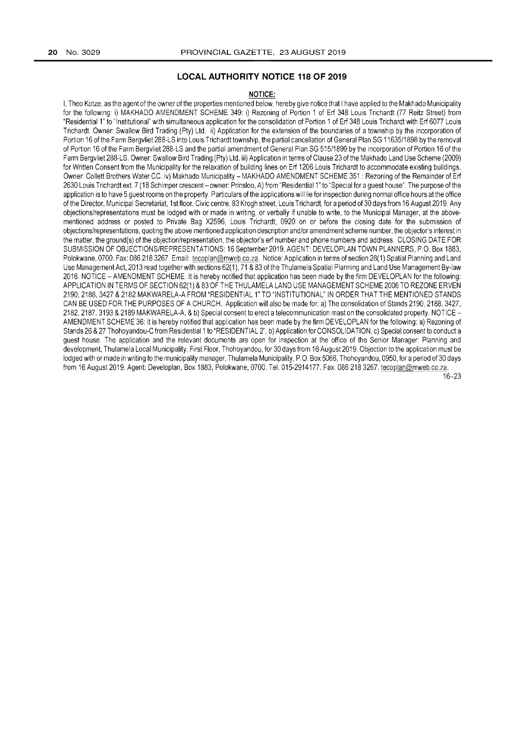### **LOCAL AUTHORITY NOTICE 118 OF 2019**

#### **NOTICE:**

I, Theo Kotze, as the agent of the owner of the properties mentioned below, hereby give notice that I have applied to the Makhado Municipality for the following: i) MAKHADO AMENDMENT SCHEME 349: i) Rezoning of Portion 1 of Erf 348 Louis Trichardt (77 Reitz Street) from "Residential 1 " to "Institutional" with simultaneous application for the consolidation of Portion 1 of Erf 348 Louis Trichardt with Erf 6077 Louis Trichardt. Owner: Swallow Bird Trading (Pty) Ltd. ii) Application for the extension of the boundaries of a township by the incorporation of Portion 16 of the Farm Bergvliet 288-LS into Louis Trichardt township, the partial cancellation of General Plan SG 11635/1898 by the removal of Portion 16 of the Farm Bergvliet 288-LS and the partial amendment of General Plan SG 515/1899 by the incorporation of Portion 16 of the Farm Bergvliet 288-LS. Owner: Swallow Bird Trading (Pty) Ltd. iii) Application in terms of Clause 23 of the Makhado Land Use Scheme (2009) for Written Consent from the Municipality for the relaxation of building lines on Erf 1206 Louis Trichardt to accommodate existing buildings. Owner: Collett Brothers Water CC. iv) Makhado Municipality - MAKHADO AMENDMENT SCHEME 351 : Rezoning of the Remainder of Erf 2630 Louis Trichardt ext. 7 (18 Schimper crescent - owner: Prinsloo, A) from "Residential 1" to "Special for a guest house". The purpose of the application is to have 5 guest rooms on the property. Particulars of the applications will lie for inspection during normal office hours at the office of the Director, Municipal Secretariat, 1 st floor, Civic centre, 83 Krogh street, Louis Trichardt, for a period of 30 days from 16 August 2019. Any objectionsirepresentations must be lodged with or made in writing, or verbally if unable to write, to the Municipal Manager, at the abovementioned address or posted to Private Bag X2596, Louis Trichardt, 0920 on or before the closing date for the submission of objections/representations, quoting the above mentioned application description and/or amendment scheme number, the objector's interest in the matter, the ground(s) of the objection/representation, the objector's erf number and phone numbers and address. CLOSING DATE FOR SUBMISSION OF OBJECTIONS/REPRESENTATIONS: 16 September 2019. AGENT: DEVELOPLAN TOWN PLANNERS, P.O. Box 1883, Polokwane, 0700. Fax: 086 218 3267. Email: tecoplan@mweb.co.za. Notice: Application in terms of section 28(1) Spatial Planning and Land Use Management Act, 2013 read together with sections 62(1),71 & 83 of the Thulamela Spatial Planning and Land Use Management By-law 2016. NOTICE - AMENDMENT SCHEME: It is hereby notified that application has been made by the firm DEVELOPLAN for the following: APPLICATION IN TERMS OF SECTION 62(1) & 83 OF THE THULAMELA LAND USE MANAGEMENT SCHEME 2006 TO REZONE ERVEN 2190,2188,3427 & 2182 MAKWARELA-A FROM "RESIDENTIAL 1" TO "INSTITUTIONAL" IN ORDER THAT THE MENTIONED STANDS CAN BE USED FOR THE PURPOSES OF A CHURCH. Application will also be made for: a) The consolidation of Stands 2190, 2188, 3427, 2182,2187,3193 & 2189 MAKWARELA-A, & b) Special consent to erect a telecommunication mast on the consolidated property. NOTICE-AMENDMENT SCHEME 36: It is hereby notified that application has been made by the firm DEVELOPLAN for the following: a) Rezoning of Stands 26 & 27 Thohoyandou-C from Residential 1 to "RESIDENTIAL 2", b) Application for CONSOLIDATION, c) Special consent to conduct a guest house. The application and the relevant documents are open for inspection at the office of the Senior Manager: Planning and development, Thulamela Local Municipality, First Floor, Thohoyandou, for 30 days from 16 August 2019. Objection to the application must be lodged with or made in writing to the municipality manager, Thulamela Municipality, P.O. Box 5066, Thohoyandou, 0950, for a period of 30 days from 16 August 2019. Agent: Developlan, Box 1883, Polokwane, 0700, Tel. 015-2914177. Fax: 086 218 3267. tecoplan@mweb.co.za.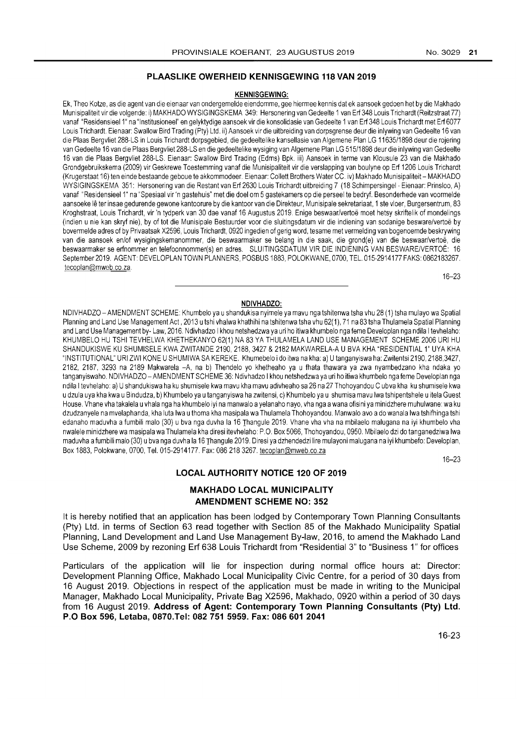## PLAASLIKE OWERHEID KENNISGEWING 118 VAN 2019

#### KENNISGEWING:

Ek, Theo Kotze, as die agent van die eienaar van ondergemelde eiendomme, gee hiermee kennis dat ek aansoek gedoen het by die Makhado Munisipaliteit vir die volgende: i) MAKHADO WYSIGINGSKEMA 349: Hersonering van Gedeelte 1 van Erf 348 Louis Trichardt (Reitzstraat 77) vanaf "ResidensieeI1" na "Institusioneel" en gelyktydige aansoek vir die konsolidasie van Gedeelte 1 van Erf 348 Louis Trichardt met Erf 6077 Louis Trichardt. Eienaar: Swallow Bird Trading (Pty) Ltd. ii) Aansoek vir die uitbreiding van dorpsgrense deur die inlywing van Gedeelte 16 van die Plaas Bergvliet 288-LS in Louis Trichardt dorpsgebied, die gedeeltelike kansellasie van Aigemene Plan LG 11635/1898 deur die rojering van Gedeelte 16 van die Plaas Bergvliet 288-LS en die gedeeltelike wysiging van Aigemene Plan LG 515/1898 deur die inlywing van Gedeelte 16 van die Plaas Bergvliet 288-LS. Eienaar: Swallow Bird Trading (Edms) Bpk. iii) Aansoek in terme van Klousule 23 van die Makhado Grondgebruikskema (2009) vir Geskrewe Toestemming vanaf die Munisipaliteit vir die verslapping van boulyne op Erf 1206 Louis Trichardt (Krugerstaat 16) ten einde bestaande geboue te akkommodeer. Eienaar: Collett Brothers Water CC. iv) Makhado Munisipaliteit - MAKHADO WYSIGINGSKEMA 351: Hersonering van die Restant van Erf 2630 Louis Trichardt uitbreiding 7 (18 Schimpersingel- Eienaar: Prinsloo, A) vanaf "ResidensieeI1" na "Spesiaal vir 'n gastehuis" met die doel om 5 gastekamers op die perseel te bedryf. Besonderhede van voormelde aansoeke lê ter insae gedurende gewone kantoorure by die kantoor van die Direkteur, Munisipale sekretariaat, 1 ste vloer, Burgersentrum, 83 Kroghstraat, Louis Trichardt, vir 'n tydperk van 30 dae vanaf 16 Augustus 2019. Enige beswaar/vertoe moet hetsy skriftelik of mondelings (indien u nie kan skryf nie), by of tot die Munisipale Bestuurder voor die sluitingsdatum vir die indiening van sodanige besware/vertoe by bovermelde adres of by Privaatsak X2596, Louis Trichardt, 0920 ingedien of gerig word, tesame met vermelding van bogenoemde beskrywing van die aansoek en/of wysigingskemanommer, die beswaarmaker se belang in die saak, die grond(e) van die beswaar/vertoë, die beswaarmaker se erfnommer en telefoonnommer(s) en adres. SLUITINGSDATUM VIR DIE INDIENING VAN BESWARE/VERTOË: 16 September 2019. AGENT: DEVELOPLAN TOWN PLANNERS, POSBUS 1883, POLOKWANE, 0700, TEL. 015-2914177 FAKS: 0862183267. tecoplan@mweb.co.za.

16-23

#### NDIVHADZO:

NDIVHADZO -AMENDMENT SCHEME: Khumbelo ya u shandukisa nyimele ya mavu nga tshitenwa tsha vhu 28 (1) tsha mulayo wa Spatial Planning and Land Use Management Act, 2013 u tshi vhalwa khathihi na tshitenwa tsha vhu 62(1),71 na 83 tsha Thulamela Spatial Planning and Land Use Management by- Law, 2016. Ndivhadzo I khou netshedzwa ya uri ho itiwa khumbelo nga feme Developlan nga ndila I tevhelaho: KHUMBELO HU TSHI TEVHELWA KHETHEKANYO 62(1) NA 83 YA THULAMELA LAND USE MANAGEMENT SCHEME 2006 URI HU SHANDUKISWE KU SHUMISELE KWA ZWITANDE 2190, 2188, 3427 & 2182 MAKWARELA-A U BVA KHA "RESIDENTIAL 1" UYA KHA "INSTITUTIONAL" URI ZWI KONE U SHUMIWA SA KEREKE. Khumebelo i do itwa na kha: a) U tanganyiswa ha: Zwitentsi 2190, 2188,3427, 2182, 2187, 3293 na 2189 Makwarela -A, na b) Thendelo yo khetheaho ya u fhata thawara ya zwa nyambedzano kha ndaka yo tanganyiswaho. NDIVHADZO - AMENDMENT SCHEME 36: Ndivhadzo I khou netshedzwa ya uri ho itiwa khumbelo nga feme Developlan nga ndila I tevhelaho: a) U shandukiswa ha ku shumisele kwa mavu kha mavu adivheaho sa 26 na 27 Thohoyandou C ubva kha ku shumisele kwa u dzula uya kha kwa u Bindudza, b) Khumbelo ya u tanganyiswa ha zwitensi, c) Khumbelo ya u shumisa mavu Iwa tshipentshele u itela Guest House. Vhane vha takalela u vhala nga ha khumbelo iyi na manwalo a yelanaho nayo, vha nga a wana ofisini ya minidzhere muhulwane: wa ku dzudzanyele na myelaphanda, kha luta Iwa u thoma kha masipala wa Thulamela Thohoyandou. Manwalo ayo a do wanala Iwa tshifhinga tshi edanaho maduvha a fumbili malo (30) u bva nga duvha la 16 Thangule 2019. Vhane vha vha na mbilaelo malugana na iyi khumbelo vha nwalele minidzhere wa masipala wa Thulamela kha diresi itevhelaho: P.O. Box 5066, Thohoyandou, 0950. Mbilaelo dzi do tanganedziwa Iwa maduvha a fumbili malo (30) u bva nga duvha la 16 Thangule 2019. Diresi ya dzhendedzi lire mulayoni malugana na iyi khumbefo: Developlan, Box 1883, Polokwane, 0700, Tel. 015-2914177. Fax: 086 218 3267. tecoplan@mweb.co.za

16-23

#### LOCAL AUTHORITY NOTICE 120 OF 2019

## MAKHADO LOCAL MUNICIPALITY AMENDMENT SCHEME NO: 352

It is hereby notified that an application has been lodged by Contemporary Town Planning Consultants (Pty) Ltd. in terms of Section 63 read together with Section 85 of the Makhado Municipality Spatial Planning, Land Development and Land Use Management By-law, 2016, to amend the Makhado Land Use Scheme, 2009 by rezoning Erf 638 Louis Trichardt from "Residential 3" to "Business 1" for offices

Particulars of the application will lie for inspection during normal office hours at: Director: Development Planning Office, Makhado Local Municipality Civic Centre, for a period of 30 days from 16 August 2019. Objections in respect of the application must be made in writing to the Municipal Manager, Makhado Local Municipality, Private Bag X2596, Makhado, 0920 within a period of 30 days from 16 August 2019. Address of Agent: Contemporary Town Planning Consultants (Pty) Ltd. P.O Box 596, Letaba, 0870.Tel: 082 751 5959. Fax: 086601 2041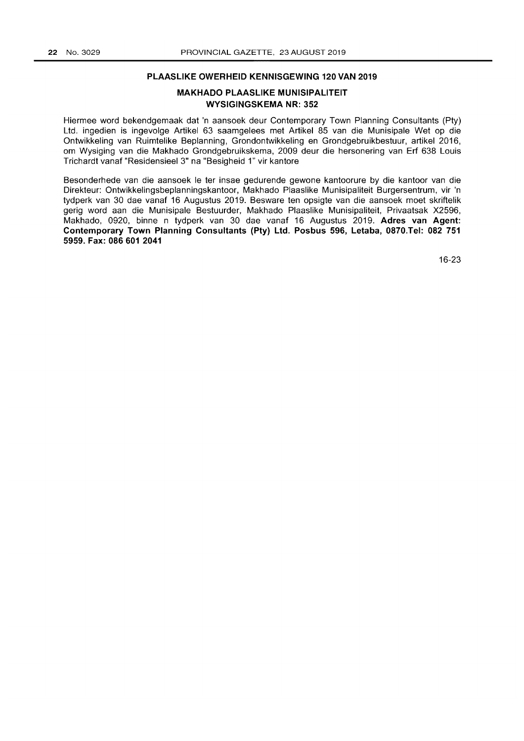## PLAASLIKE OWERHEID KENNISGEWING 120 VAN 2019

# MAKHADO PLAASLIKE MUNISIPALITEIT WYSIGINGSKEMA NR: 352

Hiermee word bekendgemaak dat 'n aansoek deur Contemporary Town Planning Consultants (Pty) Ltd. ingedien is ingevolge Artikel 63 saamgelees met Artikel 85 van die Munisipale Wet op die Ontwikkeling van Ruimtelike Beplanning, Grondontwikkeling en Grondgebruikbestuur, artikel 2016, om Wysiging van die Makhado Grondgebruikskema, 2009 deur die hersonering van Erf 638 Louis Trichardt vanaf "Residensieel 3" na "Besigheid 1" vir kantore

Besonderhede van die aansoek Ie ter insae gedurende gewone kantoorure by die kantoor van die Direkteur: Ontwikkelingsbeplanningskantoor, Makhado Plaaslike Munisipaliteit Burgersentrum, vir 'n tydperk van 30 dae vanaf 16 Augustus 2019. Besware ten opsigte van die aansoek moet skriftelik gerig word aan die Munisipale Bestuurder, Makhado Plaaslike Munisipaliteit, Privaatsak X2596, Makhado, 0920, binne n tydperk van 30 dae vanaf 16 Augustus 2019. Adres van Agent: Contemporary Town Planning Consultants (Pty) Ltd. Posbus 596, Letaba, 0870.Tel: 082 751 5959. Fax: 086601 2041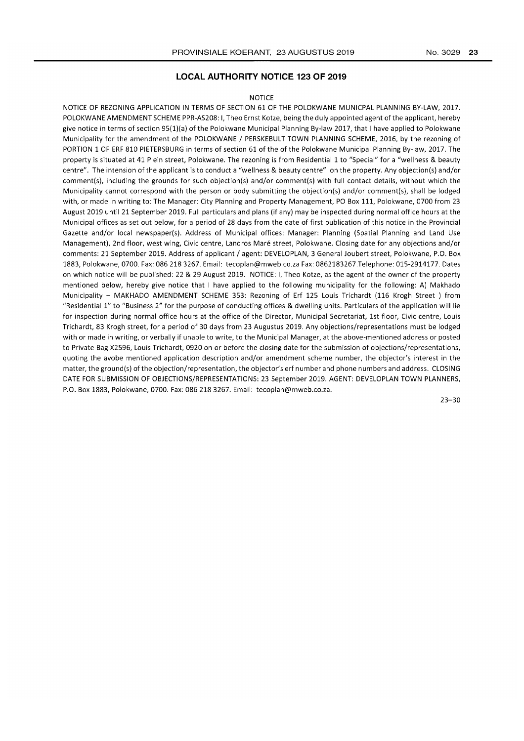#### **LOCAL AUTHORITY NOTICE 123 OF 2019**

#### **NOTICE**

NOTICE OF REZONING APPLICATION IN TERMS OF SECTION 61 OF THE POLOKWANE MUNICPAL PLANNING BY-LAW, 2017. POLOKWANE AMENDMENT SCHEME PPR-AS208: I, Theo Ernst Kotze, being the duly appointed agent of the applicant, hereby give notice in terms of section 95(1)(a) of the Polokwane Municipal Planning By-law 2017, that I have applied to Polokwane Municipality for the amendment of the POLOKWANE / PERSKEBULT TOWN PLANNING SCHEME, 2016, by the rezoning of PORTION 1 OF ERF 810 PIETERSBURG in terms of section 61 of the of the Polokwane Municipal Planning By-law, 2017. The property is situated at 41 Plein street, Polokwane. The rezoning is from Residential 1 to "Special" for a "wellness & beauty centre". The intension of the applicant is to conduct a "wellness & beauty centre" on the property. Any objection(s) and/or comment(s), including the grounds for such objection(s) and/or comment(s) with full contact details, without which the Municipality cannot correspond with the person or body submitting the objection(s) and/or comment(s), shall be lodged with, or made in writing to: The Manager: City Planning and Property Management, PO Box 111, Polokwane, 0700 from 23 August 2019 until 21 September 2019. Full particulars and plans (if any) may be inspected during normal office hours at the Municipal offices as set out below, for a period of 28 days from the date of first publication of this notice in the Provincial Gazette and/or local newspaper(s). Address of Municipal offices: Manager: Planning (Spatial Planning and Land Use Management), 2nd floor, west wing, Civic centre, Landros Maré street, Polokwane. Closing date for any objections and/or comments: 21 September 2019. Address of applicant / agent: DEVELOPLAN, 3 General Joubert street, Polokwane, P.O. Box 1883, Polokwane, 0700. Fax: 086 218 3267. Email: tecoplan@mweb.co.za Fax: 0862183267.Telephone: 015-2914177. Dates on which notice will be published: 22 & 29 August 2019. NOTICE: I, Theo Kotze, as the agent of the owner of the property mentioned below, hereby give notice that I have applied to the following municipality for the following: A) Makhado Municipality - MAKHADO AMENDMENT SCHEME 353: Rezoning of Erf 125 Louis Trichardt (116 Krogh Street) from "Residential 1" to "Business 2" for the purpose of conducting offices & dwelling units. Particulars of the application will lie for inspection during normal office hours at the office of the Director, Municipal Secretariat, 1st floor, Civic centre, Louis Trichardt, 83 Krogh street, for a period of 30 days from 23 Augustus 2019. Any objections/representations must be lodged with or made in writing, or verbally if unable to write, to the Municipal Manager, at the above-mentioned address or posted to Private Bag X2596, Louis Trichardt, 0920 on or before the closing date for the submission of objections/representations, quoting the avobe mentioned application description and/or amendment scheme number, the objector's interest in the matter, the ground(s) of the objection/representation, the objector's erf number and phone numbers and address. CLOSING DATE FOR SUBMISSION OF OBJECTIONS/REPRESENTATIONS: 23 September 2019. AGENT: DEVELOPLAN TOWN PLANNERS, P.O. Box 1883, Polokwane, 0700. Fax: 086 218 3267. Email: tecoplan@mweb.co.za.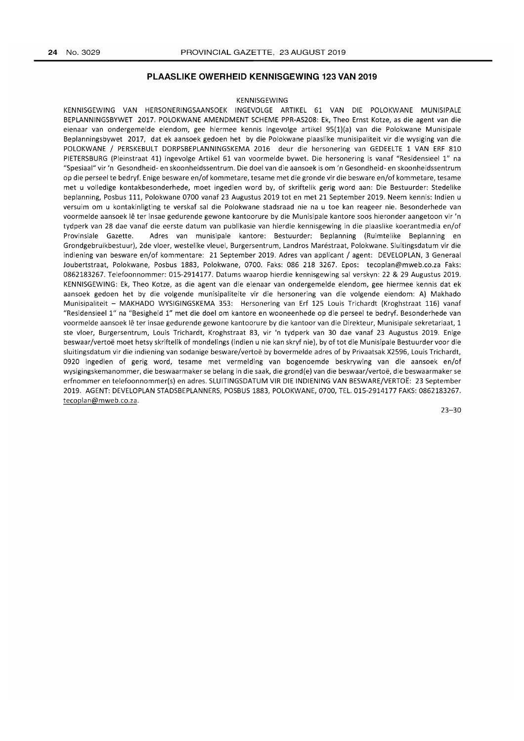#### **PLAASLIKE OWERHEID KENNISGEWING 123 VAN 2019**

#### KENNISGEWING

KENNISGEWING VAN HERSONERINGSAANSOEK INGEVOLGE ARTIKEL 61 VAN DIE POLOKWANE MUNISIPALE BEPLANNINGSBYWET 2017. POLOKWANE AMENDMENT SCHEME PPR-AS208: Ek, Theo Ernst Kotze, as die agent van die eienaar van ondergemelde eiendom, gee hiermee kennis ingevolge artikel 95(1)(a) van die Polokwane Munisipale Beplanningsbywet 2017, dat ek aansoek gedoen het by die Polokwane plaaslike munisipaliteit vir die wysiging van die POLOKWANE / PERSKEBULT DORPSBEPLANNINGSKEMA 2016 deur die hersonering van GEDEELTE 1 VAN ERF 810 PIETERSBURG (Pleinstraat 41) ingevolge Artikel 61 van voormelde bywet. Die hersonering is vanaf "Residensieel 1" na "Spesiaal" vir 'n Gesondheid- en skoonheidssentrum. Die doel van die aansoek is om 'n Gesondheid- en skoonheidssentrum op die perseel te bedryf. Enige besware en/of kommetare, tesame met die gronde vir die besware en/of kommetare, tesame met u volledige kontakbesonderhede, moet ingedien word by, of skriftelik gerig word aan: Die Bestuurder: Stedelike beplanning, Posbus 111, Polokwane 0700 vanaf 23 Augustus 2019 tot en met 21 September 2019. Neem kennis: Indien u versuim om u kontakinligting te verskaf sal die Polokwane stadsraad nie na u toe kan reageer nie. Besonderhede van voormelde aansoek lê ter insae gedurende gewone kantoorure by die Munisipale kantore soos hieronder aangetoon vir 'n tydperk van 28 dae vanaf die eerste datum van publikasie van hierdie kennisgewing in die plaaslike koerantmedia en/of Provinsiale Gazette. Adres van munisipale kantore: Bestuurder: Beplanning (Ruimtelike Beplanning en Grondgebruikbestuur), 2de vloer, westelike vleuel, Burgersentrum, Landros Marestraat, Polokwane. Sluitingsdatum vir die indiening van besware en/of kommentare: 21 September 2019. Adres van applicant / agent: DEVELOPLAN, 3 Generaal Joubertstraat, Polokwane, Posbus 1883, Polokwane, 0700. Faks: 086 218 3267. Epos: tecoplan@mweb.co.za Faks: 0862183267. Telefoonnommer: 015-2914177. Datums waarop hierdie kennisgewing sal verskyn: 22 & 29 Augustus 2019. KENNISGEWING: Ek, Theo Kotze, as die agent van die eienaar van ondergemelde eiendom, gee hiermee kennis dat ek aansoek gedoen het by die volgende munisipaliteite vir die hersonering van die volgende eiendom: A) Makhado Munisipaliteit - MAKHADO WYSIGINGSKEMA 353: Hersonering van Erf 125 Louis Trichardt (Kroghstraat 116) vanaf "Residensieel 1" na "Besigheid 1" met die doel om kantore en wooneenhede op die perseel te bedryf. Besonderhede van voormelde aansoek lê ter insae gedurende gewone kantoorure by die kantoor van die Direkteur, Munisipale sekretariaat, 1 ste vloer, Burgersentrum, Louis Trichardt, Kroghstraat 83, vir 'n tydperk van 30 dae vanaf 23 Augustus 2019. Enige beswaar/vertoë moet hetsy skriftelik of mondelings (indien u nie kan skryf nie), by of tot die Munisipale Bestuurder voor die sluitingsdatum vir die indiening van sodanige besware/vertoe by bovermelde adres of by Privaatsak X2596, Louis Trichardt, 0920 ingedien of gerig word, tesame met vermelding van bogenoemde beskrywing van die aansoek en/of wysigingskemanommer, die beswaarmaker se belang in die saak, die grond(e) van die beswaar/vertoë, die beswaarmaker se erfnommer en telefoonnommer(s) en adres. SLUITINGSDATUM VIR DIE INDIENING VAN BESWARE/VERTOE: 23 September 2019. AGENT: DEVELOPLAN STADSBEPLANNERS, POSBUS 1883, POLOKWANE, 0700, TEL. 015-2914177 FAKS: 0862183267. tecoplan@mweb.co.za.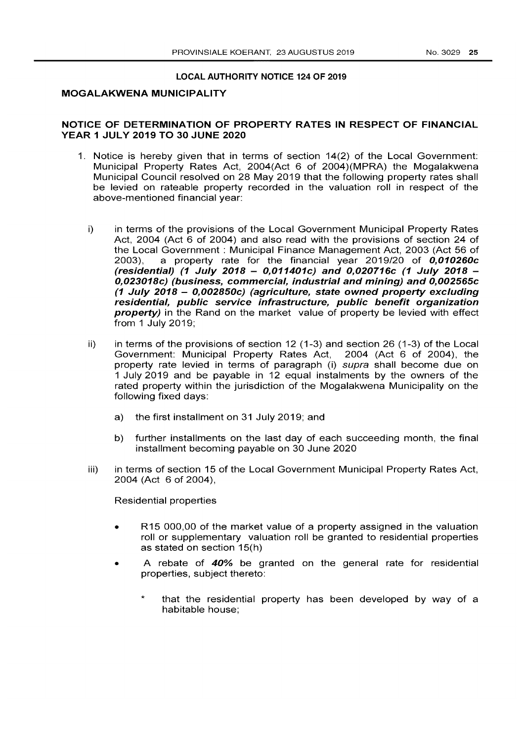### **LOCAL AUTHORITY NOTICE 124 OF 2019**

# **MOGALAKWENA MUNICIPALITY**

# **NOTICE OF DETERMINATION OF PROPERTY RATES IN RESPECT OF FINANCIAL YEAR 1 JULY 2019 TO 30 JUNE 2020**

- 1. Notice is hereby given that in terms of section 14(2) of the Local Government: Municipal Property Rates Act, 2004(Act 6 of 2004)(MPRA) the Mogalakwena Municipal Council resolved on 28 May 2019 that the following property rates shall be levied on rateable property recorded in the valuation roll in respect of the above-mentioned financial year:
	- i) in terms of the provisions of the Local Government Municipal Property Rates Act, 2004 (Act 6 of 2004) and also read with the provisions of section 24 of the Local Government: Municipal Finance Management Act, 2003 (Act 56 of 2003), a property rate for the financial year 2019/20 of **0,010260c (residential) (1 July 2018 - 0,011401c) and 0,020716c (1 July 2018 - 0,023018c) (business, commercial, industrial and mining) and 0,002565c (1 July 2018 - 0,002850c) (agriculture, state owned property excluding residential, public service infrastructure, public benefit organization property)** in the Rand on the market value of property be levied with effect from 1 July 2019;
	- ii) in terms of the provisions of section  $12(1-3)$  and section  $26(1-3)$  of the Local Government: Municipal Property Rates Act, 2004 (Act 6 of 2004), the property rate levied in terms of paragraph (i) supra shall become due on 1 July 2019 and be payable in 12 equal instalments by the owners of the rated property within the jurisdiction of the Mogalakwena Municipality on the following fixed days:
		- a) the first installment on 31 July 2019; and
		- b) further installments on the last day of each succeeding month, the final installment becoming payable on 30 June 2020
	- iii) in terms of section 15 of the Local Government Municipal Property Rates Act, 2004 (Act 6 of 2004),

Residential properties

- R15 000,00 of the market value of a property assigned in the valuation roll or supplementary valuation roll be granted to residential properties as stated on section 15(h)
- A rebate of **40%** be granted on the general rate for residential properties, subject thereto:
	- that the residential property has been developed by way of a habitable house;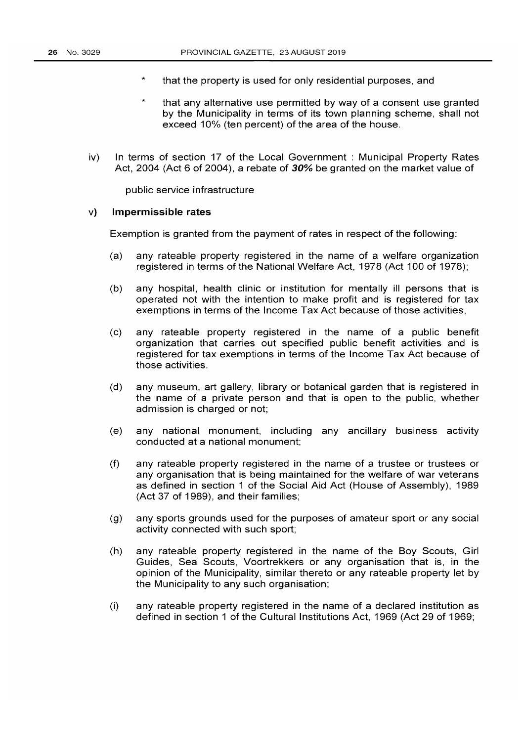- \* that the property is used for only residential purposes, and
- \* that any alternative use permitted by way of a consent use granted by the Municipality in terms of its town planning scheme, shall not exceed 10% (ten percent) of the area of the house.
- iv) In terms of section 17 of the Local Government: Municipal Property Rates Act, 2004 (Act 6 of 2004), a rebate of 30% be granted on the market value of

public service infrastructure

### v) **Impermissible rates**

Exemption is granted from the payment of rates in respect of the following:

- (a) any rateable property registered in the name of a welfare organization registered in terms of the National Welfare Act, 1978 (Act 100 of 1978);
- (b) any hospital, health clinic or institution for mentally ill persons that is operated not with the intention to make profit and is registered for tax exemptions in terms of the Income Tax Act because of those activities,
- (c) any rateable property registered in the name of a public benefit organization that carries out specified public benefit activities and is registered for tax exemptions in terms of the Income Tax Act because of those activities.
- (d) any museum, art gallery, library or botanical garden that is registered in the name of a private person and that is open to the public, whether admission is charged or not;
- (e) any national monument, including any ancillary business activity conducted at a national monument;
- (f) any rateable property registered in the name of a trustee or trustees or any organisation that is being maintained for the welfare of war veterans as defined in section 1 of the Social Aid Act (House of Assembly), 1989 (Act 37 of 1989), and their families;
- (g) any sports grounds used for the purposes of amateur sport or any social activity connected with such sport;
- (h) any rateable property registered in the name of the Boy Scouts, Girl Guides, Sea Scouts, Voortrekkers or any organisation that is, in the opinion of the Municipality, similar thereto or any rateable property let by the Municipality to any such organisation;
- (i) any rateable property registered in the name of a declared institution as defined in section 1 of the Cultural Institutions Act, 1969 (Act 29 of 1969;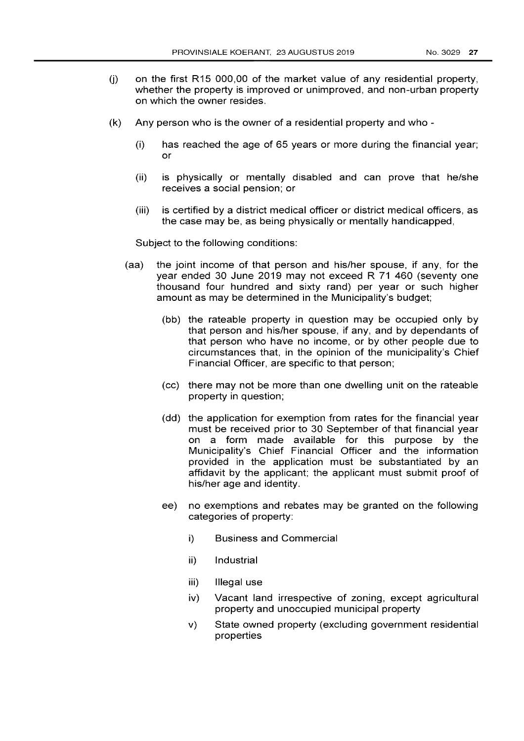- (j) on the first R15 000,00 of the market value of any residential property, whether the property is improved or unimproved, and non-urban property on which the owner resides.
- (k) Any person who is the owner of a residential property and who
	- (i) has reached the age of 65 years or more during the financial year; or
	- (ii) is physically or mentally disabled and can prove that he/she receives a social pension; or
	- (iii) is certified by a district medical officer or district medical officers, as the case may be, as being physically or mentally handicapped,

Subject to the following conditions:

- (aa) the joint income of that person and his/her spouse, if any, for the year ended 30 June 2019 may not exceed R 71 460 (seventy one thousand four hundred and sixty rand) per year or such higher amount as may be determined in the Municipality's budget;
	- (bb) the rateable property in question may be occupied only by that person and his/her spouse, if any, and by dependants of that person who have no income, or by other people due to circumstances that, in the opinion of the municipality's Chief Financial Officer, are specific to that person;
	- (cc) there may not be more than one dwelling unit on the rateable property in question;
	- (dd) the application for exemption from rates for the financial year must be received prior to 30 September of that financial year on a form made available for this purpose by the Municipality's Chief Financial Officer and the information provided in the application must be substantiated by an affidavit by the applicant; the applicant must submit proof of his/her age and identity.
	- ee) no exemptions and rebates may be granted on the following categories of property:
		- i) Business and Commercial
		- ii) Industrial
		- iii) Illegal use
		- iv) Vacant land irrespective of zoning, except agricultural property and unoccupied municipal property
		- v) State owned property (excluding government residential properties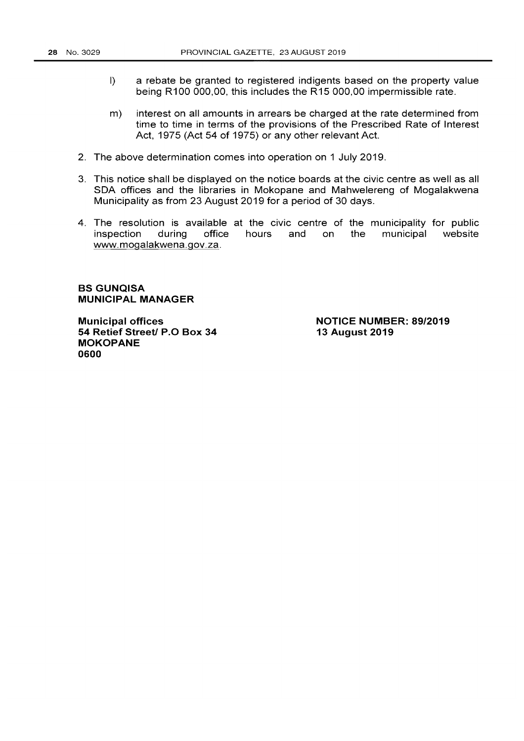- I) a rebate be granted to registered indigents based on the property value being R100 000,00, this includes the R15 000,00 impermissible rate.
- m) interest on all amounts in arrears be charged at the rate determined from time to time in terms of the provisions of the Prescribed Rate of Interest Act, 1975 (Act 54 of 1975) or any other relevant Act.
- 2. The above determination comes into operation on 1 July 2019.
- 3. This notice shall be displayed on the notice boards at the civic centre as well as all SDA offices and the libraries in Mokopane and Mahwelereng of Mogalakwena Municipality as from 23 August 2019 for a period of 30 days.
- 4. The resolution is available at the civic centre of the municipality for public inspection during office hours and on the municipal website www.mogalakwena.gov.za.

**BS GUNQISA MUNICIPAL MANAGER** 

**Municipal offices 54 Retief Street/ P.O Box 34 MOKOPANE 0600** 

**NOTICE NUMBER: 89/2019 13 August 2019**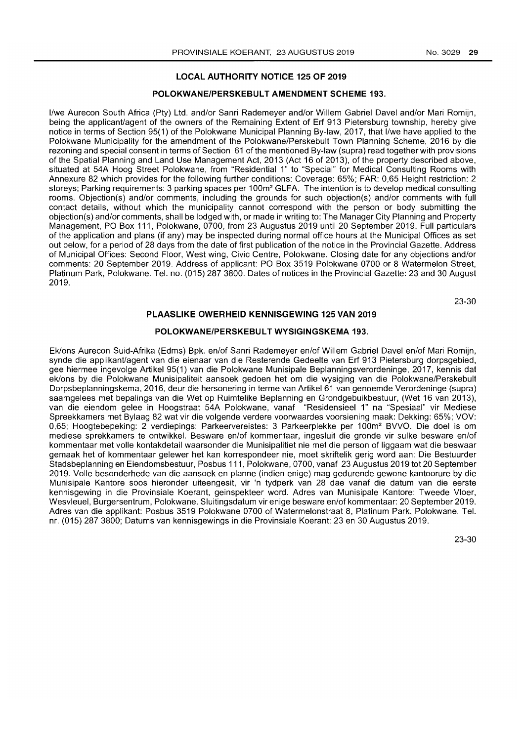## **LOCAL AUTHORITY NOTICE 125 OF 2019**

## **POLOKWANE/PERSKEBULT AMENDMENT SCHEME** 193.

I/we Aurecon South Africa (Pty) Ltd. and/or Sanri Rademeyer and/or Willem Gabriel Davel and/or Mari Romijn, being the applicant/agent of the owners of the Remaining Extent of Erf 913 Pietersburg township, hereby give notice in terms of Section 95(1) of the Polokwane Municipal Planning By-law, 2017, that I/we have applied to the Polokwane Municipality for the amendment of the Polokwane/Perskebult Town Planning Scheme, 2016 by die rezoning and special consent in terms of Section 61 of the mentioned By-law (supra) read together with provisions of the Spatial Planning and Land Use Management Act, 2013 (Act 16 of 2013), of the property described above, situated at 54A Hoog Street Polokwane, from "Residential 1" to "Special" for Medical Consulting Rooms with Annexure 82 which provides for the following further conditions: Coverage: 65%; FAR: 0,65 Height restriction: 2 storeys; Parking requirements: 3 parking spaces per 100m<sup>2</sup> GLFA. The intention is to develop medical consulting rooms. Objection(s) and/or comments, including the grounds for such objection(s) and/or comments with full contact details, without which the municipality cannot correspond with the person or body submitting the objection(s) and/or comments, shall be lodged with, or made in writing to: The Manager City Planning and Property Management, PO Box 111, Polokwane, 0700, from 23 Augustus 2019 until 20 September 2019. Full particulars of the application and plans (if any) may be inspected during normal office hours at the Municipal Offices as set out below, for a period of 28 days from the date of first publication of the notice in the Provincial Gazette. Address of Municipal Offices: Second Floor, West wing, Civic Centre, Polokwane. Closing date for any objections and/or comments: 20 September 2019. Address of applicant: PO Box 3519 Polokwane 0700 or 8 Watermelon Street, Platinum Park, Polokwane. Tel. no. (015) 287 3800. Dates of notices in the Provincial Gazette: 23 and 30 August 2019.

23-30

## **PLAASLIKE OWERHEID KENNISGEWING 125 VAN 2019**

#### **POLOKWANE/PERSKEBULT WYSIGINGSKEMA 193.**

Ek/ons Aurecon Suid-Afrika (Edms) Bpk. en/of Sanri Rademeyer en/of Willem Gabriel Davel en/of Mari Romijn, synde die applikantlagent van die eienaar van die Resterende Gedeelte van Erf 913 Pietersburg dorpsgebied, gee hiermee ingevolge Artikel 95(1) van die Polokwane Munisipale Beplanningsverordeninge, 2017, kennis dat ek/ons by die Polokwane Munisipaliteit aansoek gedoen het om die wysiging van die Polokwane/Perskebult Dorpsbeplanningskema, 2016, deur die hersonering in terme van Artikel 61 van genoemde Verordeninge (supra) saamgelees met bepalings van die Wet op Ruimtelike Beplanning en Grondgebuikbestuur, (Wet 16 van 2013), van die eiendom gelee in Hoogstraat 54A Polokwane, vanaf "Residensieel 1" na "Spesiaal" vir Mediese Spreekkamers met Bylaag 82 wat vir die volgende verdere voorwaardes voorsiening maak: Dekking: 65%; VOV: 0,65; Hoogtebepeking: 2 verdiepings; Parkeervereistes: 3 Parkeerplekke per 100m<sup>2</sup> BVVO. Die doel is om mediese sprekkamers te ontwikkel. Besware en/of kommentaar, ingesluit die gronde vir sulke besware en/of kommentaar met volle kontakdetail waarsonder die Munisipalitiet nie met die person of liggaam wat die beswaar gemaak het of kommentaar gelewer het kan korrespondeer nie, moet skriftelik gerig word aan: Die Bestuurder Stadsbeplanning en Eiendomsbestuur, Posbus 111, Polokwane, 0700, vanaf 23 Augustus 2019 tot 20 September 2019. Volle besonderhede van die aansoek en planne (indien enige) mag gedurende gewone kantoorure by die Munisipale Kantore soos hieronder uiteengesit, vir 'n tydperk van 28 dae vanaf die datum van die eerste kennisgewing in die Provinsiale Koerant, geinspekteer word. Adres van Munisipale Kantore: Tweede Vloer, Wesvleuel, Burgersentrum, Polokwane. Sluitingsdatum vir enige besware en/of kommentaar: 20 September 2019. Adres van die applikant: Posbus 3519 Polokwane 0700 of Watermelonstraat 8, Platinum Park, Polokwane. Tel. nr. (015) 287 3800; Datums van kennisgewings in die Provinsiale Koerant: 23 en 30 Augustus 2019.